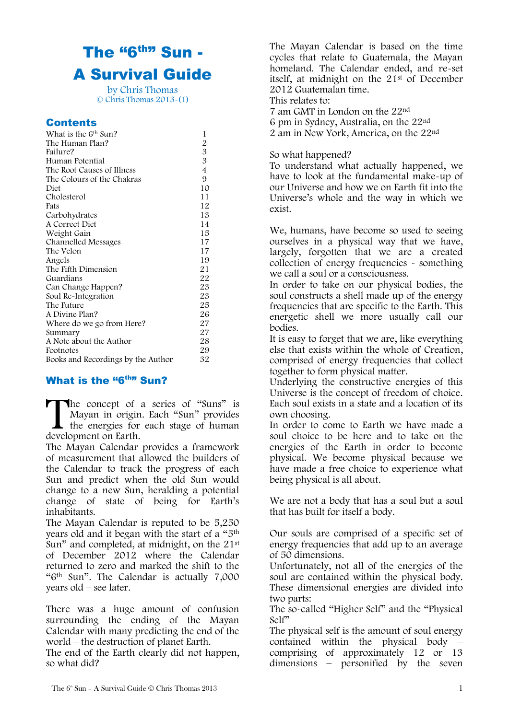# The "6<sup>th"</sup> Sun -A Survival Guide

by Chris Thomas © Chris Thomas 2013-(1)

#### **Contents**

| What is the 6 <sup>th</sup> Sun?   | 1              |
|------------------------------------|----------------|
| The Human Plan?                    | $\overline{c}$ |
| Failure?                           | 3              |
| Human Potential                    | 3              |
| The Root Causes of Illness         | $\overline{4}$ |
| The Colours of the Chakras         | 9              |
| Diet                               | 10             |
| Cholesterol                        | 11             |
| Fats                               | 12             |
| Carbohydrates                      | 13             |
| A Correct Diet                     | 14             |
| Weight Gain                        | 15             |
| Channelled Messages                | 17             |
| The Velon                          | 17             |
| Angels                             | 19             |
| The Fifth Dimension                | 21             |
| Guardians                          | 22             |
| Can Change Happen?                 | 23             |
| Soul Re-Integration                | 23             |
| The Future                         | 25             |
| A Divine Plan?                     | 26             |
| Where do we go from Here?          | 27             |
| Summary                            | 27             |
| A Note about the Author            | 28             |
| Footnotes                          | 29             |
| Books and Recordings by the Author | 32             |

### What is the "6<sup>th"</sup> Sun?

he concept of a series of "Suns" is Mayan in origin. Each "Sun" provides the energies for each stage of human development on Earth. **T**<br>develo

The Mayan Calendar provides a framework of measurement that allowed the builders of the Calendar to track the progress of each Sun and predict when the old Sun would change to a new Sun, heralding a potential change of state of being for Earth"s inhabitants.

The Mayan Calendar is reputed to be 5,250 years old and it began with the start of a "5th Sun" and completed, at midnight, on the 21st of December 2012 where the Calendar returned to zero and marked the shift to the "6th Sun". The Calendar is actually 7,000 years old – see later.

There was a huge amount of confusion surrounding the ending of the Mayan Calendar with many predicting the end of the world – the destruction of planet Earth.

The end of the Earth clearly did not happen, so what did?

The Mayan Calendar is based on the time cycles that relate to Guatemala, the Mayan homeland. The Calendar ended, and re-set itself, at midnight on the 21st of December 2012 Guatemalan time. This relates to:

7 am GMT in London on the 22nd 6 pm in Sydney, Australia, on the 22nd 2 am in New York, America, on the 22nd

#### So what happened?

To understand what actually happened, we have to look at the fundamental make-up of our Universe and how we on Earth fit into the Universe"s whole and the way in which we exist.

We, humans, have become so used to seeing ourselves in a physical way that we have, largely, forgotten that we are a created collection of energy frequencies - something we call a soul or a consciousness.

In order to take on our physical bodies, the soul constructs a shell made up of the energy frequencies that are specific to the Earth. This energetic shell we more usually call our bodies.

It is easy to forget that we are, like everything else that exists within the whole of Creation, comprised of energy frequencies that collect together to form physical matter.

Underlying the constructive energies of this Universe is the concept of freedom of choice. Each soul exists in a state and a location of its own choosing.

In order to come to Earth we have made a soul choice to be here and to take on the energies of the Earth in order to become physical. We become physical because we have made a free choice to experience what being physical is all about.

We are not a body that has a soul but a soul that has built for itself a body.

Our souls are comprised of a specific set of energy frequencies that add up to an average of 50 dimensions.

Unfortunately, not all of the energies of the soul are contained within the physical body. These dimensional energies are divided into two parts:

The so-called "Higher Self" and the "Physical Self"

The physical self is the amount of soul energy contained within the physical body – comprising of approximately 12 or 13 dimensions – personified by the seven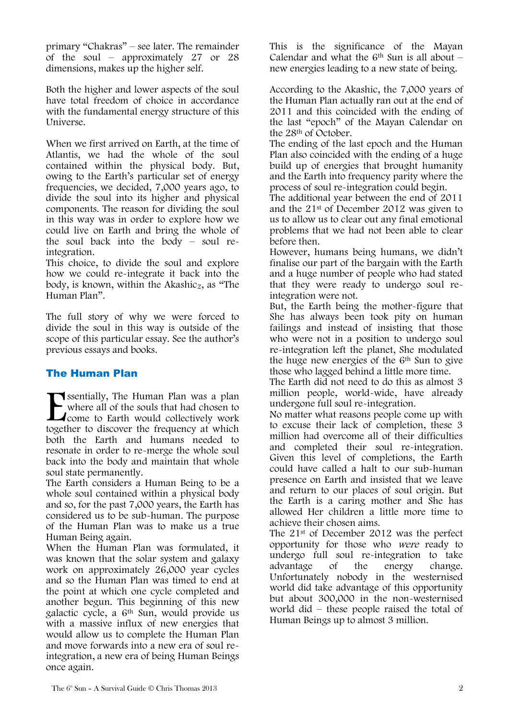primary "Chakras" – see later. The remainder of the soul – approximately 27 or 28 dimensions, makes up the higher self.

Both the higher and lower aspects of the soul have total freedom of choice in accordance with the fundamental energy structure of this Universe.

When we first arrived on Earth, at the time of Atlantis, we had the whole of the soul contained within the physical body. But, owing to the Earth"s particular set of energy frequencies, we decided, 7,000 years ago, to divide the soul into its higher and physical components. The reason for dividing the soul in this way was in order to explore how we could live on Earth and bring the whole of the soul back into the body – soul reintegration.

This choice, to divide the soul and explore how we could re-integrate it back into the body, is known, within the Akashic<sub>2</sub>, as "The Human Plan".

The full story of why we were forced to divide the soul in this way is outside of the scope of this particular essay. See the author"s previous essays and books.

### The Human Plan

Sisentially, The Human Plan was a plan where all of the souls that had chosen to come to Earth would collectively work together to discover the frequency at which both the Earth and humans needed to resonate in order to re-merge the whole soul back into the body and maintain that whole soul state permanently.  $\sum_{\text{foget}}$ 

The Earth considers a Human Being to be a whole soul contained within a physical body and so, for the past 7,000 years, the Earth has considered us to be sub-human. The purpose of the Human Plan was to make us a true Human Being again.

When the Human Plan was formulated, it was known that the solar system and galaxy work on approximately 26,000 year cycles and so the Human Plan was timed to end at the point at which one cycle completed and another begun. This beginning of this new galactic cycle, a 6th Sun, would provide us with a massive influx of new energies that would allow us to complete the Human Plan and move forwards into a new era of soul reintegration, a new era of being Human Beings once again.

This is the significance of the Mayan Calendar and what the  $6<sup>th</sup>$  Sun is all about – new energies leading to a new state of being.

According to the Akashic, the 7,000 years of the Human Plan actually ran out at the end of 2011 and this coincided with the ending of the last "epoch" of the Mayan Calendar on the 28th of October.

The ending of the last epoch and the Human Plan also coincided with the ending of a huge build up of energies that brought humanity and the Earth into frequency parity where the process of soul re-integration could begin.

The additional year between the end of 2011 and the 21st of December 2012 was given to us to allow us to clear out any final emotional problems that we had not been able to clear before then.

However, humans being humans, we didn"t finalise our part of the bargain with the Earth and a huge number of people who had stated that they were ready to undergo soul reintegration were not.

But, the Earth being the mother-figure that She has always been took pity on human failings and instead of insisting that those who were not in a position to undergo soul re-integration left the planet, She modulated the huge new energies of the 6th Sun to give those who lagged behind a little more time.

The Earth did not need to do this as almost 3 million people, world-wide, have already undergone full soul re-integration.

No matter what reasons people come up with to excuse their lack of completion, these 3 million had overcome all of their difficulties and completed their soul re-integration. Given this level of completions, the Earth could have called a halt to our sub-human presence on Earth and insisted that we leave and return to our places of soul origin. But the Earth is a caring mother and She has allowed Her children a little more time to achieve their chosen aims.

The 21st of December 2012 was the perfect opportunity for those who were ready to undergo full soul re-integration to take advantage of the energy change. Unfortunately nobody in the westernised world did take advantage of this opportunity but about 300,000 in the non-westernised world did – these people raised the total of Human Beings up to almost 3 million.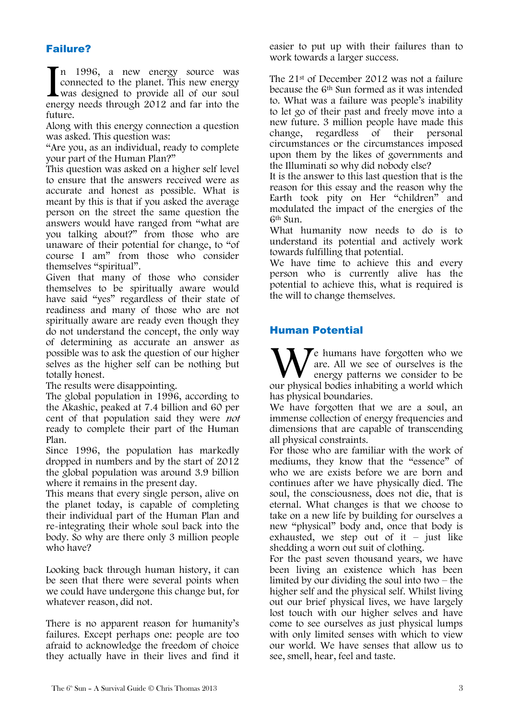### Failure?

n 1996, a new energy source was connected to the planet. This new energy was designed to provide all of our soul In 1996, a new energy source was<br>connected to the planet. This new energy<br>was designed to provide all of our soul<br>energy needs through 2012 and far into the future.

Along with this energy connection a question was asked. This question was:

"Are you, as an individual, ready to complete your part of the Human Plan?"

This question was asked on a higher self level to ensure that the answers received were as accurate and honest as possible. What is meant by this is that if you asked the average person on the street the same question the answers would have ranged from "what are you talking about?" from those who are unaware of their potential for change, to "of course I am" from those who consider themselves "spiritual".

Given that many of those who consider themselves to be spiritually aware would have said "yes" regardless of their state of readiness and many of those who are not spiritually aware are ready even though they do not understand the concept, the only way of determining as accurate an answer as possible was to ask the question of our higher selves as the higher self can be nothing but totally honest.

The results were disappointing.

The global population in 1996, according to the Akashic, peaked at 7.4 billion and 60 per cent of that population said they were not ready to complete their part of the Human Plan.

Since 1996, the population has markedly dropped in numbers and by the start of 2012 the global population was around 3.9 billion where it remains in the present day.

This means that every single person, alive on the planet today, is capable of completing their individual part of the Human Plan and re-integrating their whole soul back into the body. So why are there only 3 million people who have?

Looking back through human history, it can be seen that there were several points when we could have undergone this change but, for whatever reason, did not.

There is no apparent reason for humanity's failures. Except perhaps one: people are too afraid to acknowledge the freedom of choice they actually have in their lives and find it easier to put up with their failures than to work towards a larger success.

The 21st of December 2012 was not a failure because the 6th Sun formed as it was intended to. What was a failure was people"s inability to let go of their past and freely move into a new future. 3 million people have made this change, regardless of their personal change, regardless of their personal circumstances or the circumstances imposed upon them by the likes of governments and the Illuminati so why did nobody else?

It is the answer to this last question that is the reason for this essay and the reason why the Earth took pity on Her "children" and modulated the impact of the energies of the 6th Sun.

What humanity now needs to do is to understand its potential and actively work towards fulfilling that potential.

We have time to achieve this and every person who is currently alive has the potential to achieve this, what is required is the will to change themselves.

### Human Potential

 $\blacktriangledown$ e humans have forgotten who we are. All we see of ourselves is the energy patterns we consider to be We humans have forgotten who we are. All we see of ourselves is the energy patterns we consider to be our physical bodies inhabiting a world which has physical boundaries.

We have forgotten that we are a soul, an immense collection of energy frequencies and dimensions that are capable of transcending all physical constraints.

For those who are familiar with the work of mediums, they know that the "essence" of who we are exists before we are born and continues after we have physically died. The soul, the consciousness, does not die, that is eternal. What changes is that we choose to take on a new life by building for ourselves a new "physical" body and, once that body is exhausted, we step out of it – just like shedding a worn out suit of clothing.

For the past seven thousand years, we have been living an existence which has been limited by our dividing the soul into two – the higher self and the physical self. Whilst living out our brief physical lives, we have largely lost touch with our higher selves and have come to see ourselves as just physical lumps with only limited senses with which to view our world. We have senses that allow us to see, smell, hear, feel and taste.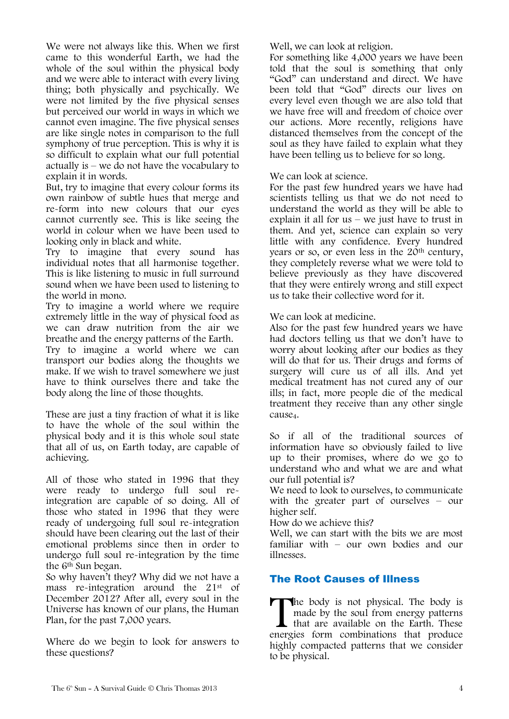We were not always like this. When we first came to this wonderful Earth, we had the whole of the soul within the physical body and we were able to interact with every living thing; both physically and psychically. We were not limited by the five physical senses but perceived our world in ways in which we cannot even imagine. The five physical senses are like single notes in comparison to the full symphony of true perception. This is why it is so difficult to explain what our full potential actually is – we do not have the vocabulary to explain it in words.

But, try to imagine that every colour forms its own rainbow of subtle hues that merge and re-form into new colours that our eyes cannot currently see. This is like seeing the world in colour when we have been used to looking only in black and white.

Try to imagine that every sound has individual notes that all harmonise together. This is like listening to music in full surround sound when we have been used to listening to the world in mono.

Try to imagine a world where we require extremely little in the way of physical food as we can draw nutrition from the air we breathe and the energy patterns of the Earth.

Try to imagine a world where we can transport our bodies along the thoughts we make. If we wish to travel somewhere we just have to think ourselves there and take the body along the line of those thoughts.

These are just a tiny fraction of what it is like to have the whole of the soul within the physical body and it is this whole soul state that all of us, on Earth today, are capable of achieving.

All of those who stated in 1996 that they were ready to undergo full soul reintegration are capable of so doing. All of those who stated in 1996 that they were ready of undergoing full soul re-integration should have been clearing out the last of their emotional problems since then in order to undergo full soul re-integration by the time the 6th Sun began.

So why haven"t they? Why did we not have a mass re-integration around the 21st of December 2012? After all, every soul in the Universe has known of our plans, the Human Plan, for the past 7,000 years.

Where do we begin to look for answers to these questions?

Well, we can look at religion.

For something like 4,000 years we have been told that the soul is something that only "God" can understand and direct. We have been told that "God" directs our lives on every level even though we are also told that we have free will and freedom of choice over our actions. More recently, religions have distanced themselves from the concept of the soul as they have failed to explain what they have been telling us to believe for so long.

We can look at science.

For the past few hundred years we have had scientists telling us that we do not need to understand the world as they will be able to explain it all for us – we just have to trust in them. And yet, science can explain so very little with any confidence. Every hundred years or so, or even less in the 20<sup>th</sup> century, they completely reverse what we were told to believe previously as they have discovered that they were entirely wrong and still expect us to take their collective word for it.

We can look at medicine.

Also for the past few hundred years we have had doctors telling us that we don"t have to worry about looking after our bodies as they will do that for us. Their drugs and forms of surgery will cure us of all ills. And yet medical treatment has not cured any of our ills; in fact, more people die of the medical treatment they receive than any other single cause<sub>4</sub>.

So if all of the traditional sources of information have so obviously failed to live up to their promises, where do we go to understand who and what we are and what our full potential is?

We need to look to ourselves, to communicate with the greater part of ourselves – our higher self.

How do we achieve this?

Well, we can start with the bits we are most familiar with – our own bodies and our illnesses.

### The Root Causes of Illness

The body is not physical. The body is<br>
made by the soul from energy patterns<br>
that are available on the Earth. These<br>
energies form combinations that produce made by the soul from energy patterns that are available on the Earth. These energies form combinations that produce highly compacted patterns that we consider to be physical.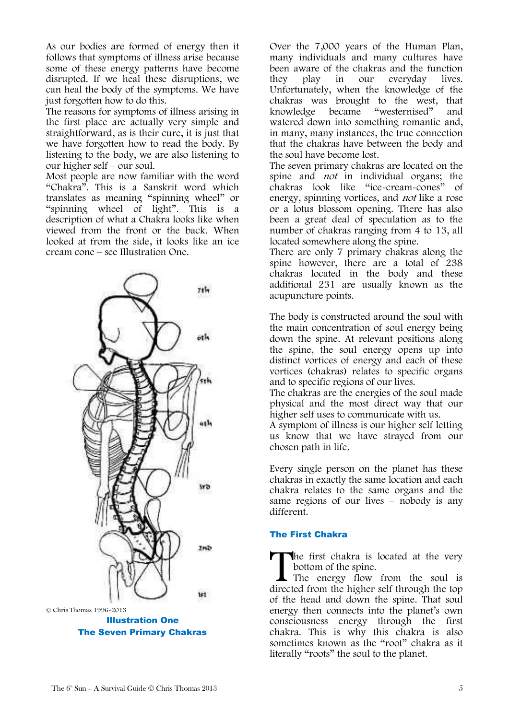As our bodies are formed of energy then it follows that symptoms of illness arise because some of these energy patterns have become disrupted. If we heal these disruptions, we can heal the body of the symptoms. We have just forgotten how to do this.

The reasons for symptoms of illness arising in the first place are actually very simple and straightforward, as is their cure, it is just that we have forgotten how to read the body. By listening to the body, we are also listening to our higher self – our soul.

Most people are now familiar with the word "Chakra". This is a Sanskrit word which translates as meaning "spinning wheel" or "spinning wheel of light". This is a description of what a Chakra looks like when viewed from the front or the back. When looked at from the side, it looks like an ice cream cone – see Illustration One.



Illustration One The Seven Primary Chakras

Over the 7,000 years of the Human Plan, many individuals and many cultures have been aware of the chakras and the function they play in our everyday lives. Unfortunately, when the knowledge of the chakras was brought to the west, that<br>knowledge became "westernised" and knowledge became "westernised" and watered down into something romantic and, in many, many instances, the true connection that the chakras have between the body and the soul have become lost.

The seven primary chakras are located on the spine and *not* in individual organs; the chakras look like "ice-cream-cones" of energy, spinning vortices, and not like a rose or a lotus blossom opening. There has also been a great deal of speculation as to the number of chakras ranging from 4 to 13, all located somewhere along the spine.

There are only 7 primary chakras along the spine however, there are a total of 238 chakras located in the body and these additional 231 are usually known as the acupuncture points.

The body is constructed around the soul with the main concentration of soul energy being down the spine. At relevant positions along the spine, the soul energy opens up into distinct vortices of energy and each of these vortices (chakras) relates to specific organs and to specific regions of our lives.

The chakras are the energies of the soul made physical and the most direct way that our higher self uses to communicate with us.

A symptom of illness is our higher self letting us know that we have strayed from our chosen path in life.

Every single person on the planet has these chakras in exactly the same location and each chakra relates to the same organs and the same regions of our lives – nobody is any different.

#### The First Chakra

The first chakra is located at the very bottom of the spine.

I The energy flow from the soul is The first chakra is located at the very bottom of the spine.<br>The energy flow from the soul is directed from the higher self through the top of the head and down the spine. That soul energy then connects into the planet"s own consciousness energy through the first chakra. This is why this chakra is also sometimes known as the "root" chakra as it literally "roots" the soul to the planet.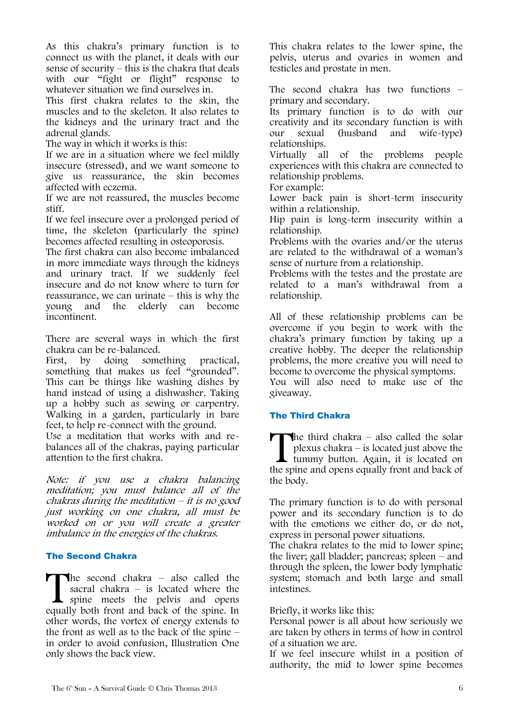As this chakra"s primary function is to connect us with the planet, it deals with our sense of security – this is the chakra that deals with our "fight or flight" response to whatever situation we find ourselves in.

This first chakra relates to the skin, the muscles and to the skeleton. It also relates to the kidneys and the urinary tract and the adrenal glands.

The way in which it works is this:

If we are in a situation where we feel mildly insecure (stressed), and we want someone to give us reassurance, the skin becomes affected with eczema.

If we are not reassured, the muscles become stiff.

If we feel insecure over a prolonged period of time, the skeleton (particularly the spine) becomes affected resulting in osteoporosis.

The first chakra can also become imbalanced in more immediate ways through the kidneys and urinary tract. If we suddenly feel insecure and do not know where to turn for reassurance, we can urinate – this is why the young and the elderly can become incontinent.

There are several ways in which the first chakra can be re-balanced.<br>First, by doing some

First, by doing something practical, something that makes us feel "grounded". This can be things like washing dishes by hand instead of using a dishwasher. Taking up a hobby such as sewing or carpentry. Walking in a garden, particularly in bare feet, to help re-connect with the ground.

Use a meditation that works with and rebalances all of the chakras, paying particular attention to the first chakra.

Note: if you use a chakra balancing meditation; you must balance all of the chakras during the meditation  $-$  it is no good just working on one chakra, all must be worked on or you will create a greater imbalance in the energies of the chakras.

#### The Second Chakra

The second chakra – also called the sacral chakra – is located where the spine meets the pelvis and opens equally both front and back of the spine. In other words, the vortex of energy extends to the front as well as to the back of the spine  $$ in order to avoid confusion, Illustration One only shows the back view.  $\prod_{\text{equal}}$ 

This chakra relates to the lower spine, the pelvis, uterus and ovaries in women and testicles and prostate in men.

The second chakra has two functions – primary and secondary.

Its primary function is to do with our creativity and its secondary function is with our sexual (husband and wife-type) relationships.

Virtually all of the problems people experiences with this chakra are connected to relationship problems.

For example:

Lower back pain is short-term insecurity within a relationship.

Hip pain is long-term insecurity within a relationship.

Problems with the ovaries and/or the uterus are related to the withdrawal of a woman"s sense of nurture from a relationship.

Problems with the testes and the prostate are related to a man"s withdrawal from a relationship.

All of these relationship problems can be overcome if you begin to work with the chakra"s primary function by taking up a creative hobby. The deeper the relationship problems, the more creative you will need to become to overcome the physical symptoms.

You will also need to make use of the giveaway.

#### The Third Chakra

The third chakra – also called the solar<br>plexus chakra – is located just above the<br>tummy button. Again, it is located on<br>the spine and opens equally front and back of plexus chakra – is located just above the tummy button. Again, it is located on the spine and opens equally front and back of the body.

The primary function is to do with personal power and its secondary function is to do with the emotions we either do, or do not, express in personal power situations.

The chakra relates to the mid to lower spine; the liver; gall bladder; pancreas; spleen – and through the spleen, the lower body lymphatic system; stomach and both large and small intestines.

Briefly, it works like this:

Personal power is all about how seriously we are taken by others in terms of how in control of a situation we are.

If we feel insecure whilst in a position of authority, the mid to lower spine becomes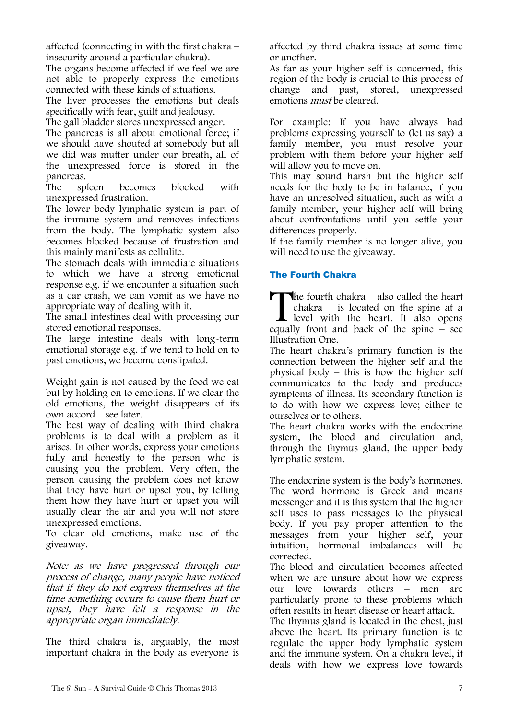affected (connecting in with the first chakra – insecurity around a particular chakra).

The organs become affected if we feel we are not able to properly express the emotions connected with these kinds of situations.

The liver processes the emotions but deals specifically with fear, guilt and jealousy.

The gall bladder stores unexpressed anger.

The pancreas is all about emotional force; if we should have shouted at somebody but all we did was mutter under our breath, all of the unexpressed force is stored in the pancreas.

The spleen becomes blocked with unexpressed frustration.

The lower body lymphatic system is part of the immune system and removes infections from the body. The lymphatic system also becomes blocked because of frustration and this mainly manifests as cellulite.

The stomach deals with immediate situations to which we have a strong emotional response e.g. if we encounter a situation such as a car crash, we can vomit as we have no appropriate way of dealing with it.

The small intestines deal with processing our stored emotional responses.

The large intestine deals with long-term emotional storage e.g. if we tend to hold on to past emotions, we become constipated.

Weight gain is not caused by the food we eat but by holding on to emotions. If we clear the old emotions, the weight disappears of its own accord – see later.

The best way of dealing with third chakra problems is to deal with a problem as it arises. In other words, express your emotions fully and honestly to the person who is causing you the problem. Very often, the person causing the problem does not know that they have hurt or upset you, by telling them how they have hurt or upset you will usually clear the air and you will not store unexpressed emotions.

To clear old emotions, make use of the giveaway.

Note: as we have progressed through our process of change, many people have noticed that if they do not express themselves at the time something occurs to cause them hurt or upset, they have felt a response in the appropriate organ immediately.

The third chakra is, arguably, the most important chakra in the body as everyone is affected by third chakra issues at some time or another.

As far as your higher self is concerned, this region of the body is crucial to this process of change and past, stored, unexpressed emotions *must* be cleared.

For example: If you have always had problems expressing yourself to (let us say) a family member, you must resolve your problem with them before your higher self will allow you to move on.

This may sound harsh but the higher self needs for the body to be in balance, if you have an unresolved situation, such as with a family member, your higher self will bring about confrontations until you settle your differences properly.

If the family member is no longer alive, you will need to use the giveaway.

### The Fourth Chakra

The fourth chakra – also called the heart chakra – is located on the spine at a level with the heart. It also opens The fourth chakra – also called the heart<br>chakra – is located on the spine at a<br>level with the heart. It also opens<br>equally front and back of the spine – see Illustration One.

The heart chakra"s primary function is the connection between the higher self and the physical body – this is how the higher self communicates to the body and produces symptoms of illness. Its secondary function is to do with how we express love; either to ourselves or to others.

The heart chakra works with the endocrine system, the blood and circulation and, through the thymus gland, the upper body lymphatic system.

The endocrine system is the body's hormones. The word hormone is Greek and means messenger and it is this system that the higher self uses to pass messages to the physical body. If you pay proper attention to the messages from your higher self, your intuition, hormonal imbalances will be corrected.

The blood and circulation becomes affected when we are unsure about how we express our love towards others – men are particularly prone to these problems which often results in heart disease or heart attack.

The thymus gland is located in the chest, just above the heart. Its primary function is to regulate the upper body lymphatic system and the immune system. On a chakra level, it deals with how we express love towards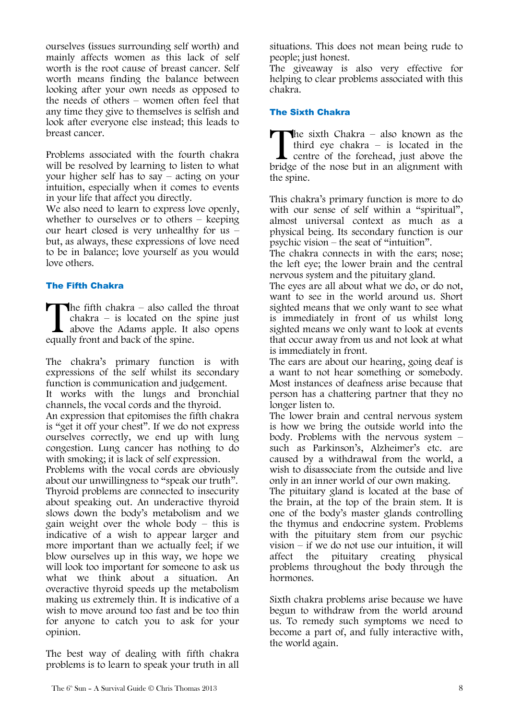ourselves (issues surrounding self worth) and mainly affects women as this lack of self worth is the root cause of breast cancer. Self worth means finding the balance between looking after your own needs as opposed to the needs of others – women often feel that any time they give to themselves is selfish and look after everyone else instead; this leads to breast cancer.

Problems associated with the fourth chakra will be resolved by learning to listen to what your higher self has to say – acting on your intuition, especially when it comes to events in your life that affect you directly.

We also need to learn to express love openly, whether to ourselves or to others – keeping our heart closed is very unhealthy for us – but, as always, these expressions of love need to be in balance; love yourself as you would love others.

#### The Fifth Chakra

The fifth chakra  $-$  also called the throat chakra – is located on the spine just above the Adams apple. It also opens equally front and back of the spine.  $\prod_{\text{equal}}$ 

The chakra"s primary function is with expressions of the self whilst its secondary function is communication and judgement. It works with the lungs and bronchial channels, the vocal cords and the thyroid. An expression that epitomises the fifth chakra is "get it off your chest". If we do not express ourselves correctly, we end up with lung congestion. Lung cancer has nothing to do with smoking; it is lack of self expression. Problems with the vocal cords are obviously about our unwillingness to "speak our truth". Thyroid problems are connected to insecurity about speaking out. An underactive thyroid slows down the body"s metabolism and we gain weight over the whole body – this is indicative of a wish to appear larger and

more important than we actually feel; if we blow ourselves up in this way, we hope we will look too important for someone to ask us what we think about a situation. An overactive thyroid speeds up the metabolism making us extremely thin. It is indicative of a wish to move around too fast and be too thin for anyone to catch you to ask for your opinion.

The best way of dealing with fifth chakra problems is to learn to speak your truth in all situations. This does not mean being rude to people; just honest.

The giveaway is also very effective for helping to clear problems associated with this chakra.

#### The Sixth Chakra

The sixth Chakra – also known as the third eye chakra – is located in the centre of the forehead, just above the bridge of the nose but in an alignment with the spine.  $\prod_{\text{bridge}}$ 

This chakra"s primary function is more to do with our sense of self within a "spiritual", almost universal context as much as a physical being. Its secondary function is our psychic vision – the seat of "intuition".

The chakra connects in with the ears; nose; the left eye; the lower brain and the central nervous system and the pituitary gland.

The eyes are all about what we do, or do not, want to see in the world around us. Short sighted means that we only want to see what is immediately in front of us whilst long sighted means we only want to look at events that occur away from us and not look at what is immediately in front.

The ears are about our hearing, going deaf is a want to not hear something or somebody. Most instances of deafness arise because that person has a chattering partner that they no longer listen to.

The lower brain and central nervous system is how we bring the outside world into the body. Problems with the nervous system – such as Parkinson's, Alzheimer's etc. are caused by a withdrawal from the world, a wish to disassociate from the outside and live only in an inner world of our own making.

The pituitary gland is located at the base of the brain, at the top of the brain stem. It is one of the body"s master glands controlling the thymus and endocrine system. Problems with the pituitary stem from our psychic vision – if we do not use our intuition, it will<br>affect the pituitary creating physical affect the pituitary creating physical problems throughout the body through the hormones.

Sixth chakra problems arise because we have begun to withdraw from the world around us. To remedy such symptoms we need to become a part of, and fully interactive with, the world again.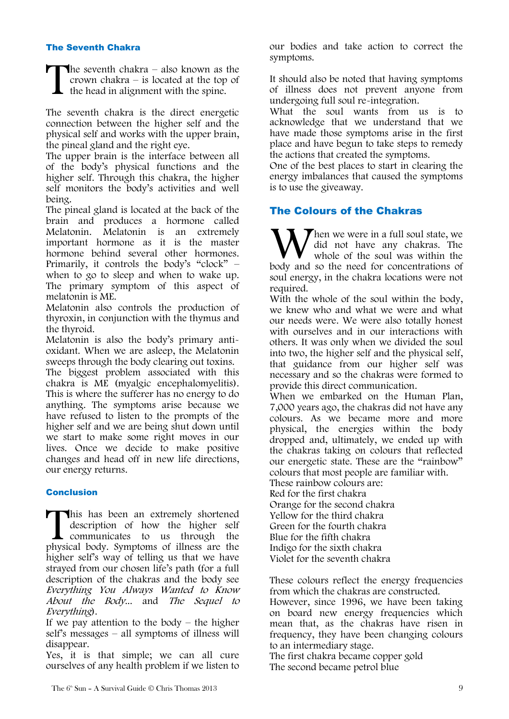#### The Seventh Chakra

**The seventh chakra** – also known as the crown chakra – is located at the top of the head in alignment with the spine. T

The seventh chakra is the direct energetic connection between the higher self and the physical self and works with the upper brain, the pineal gland and the right eye.

The upper brain is the interface between all of the body"s physical functions and the higher self. Through this chakra, the higher self monitors the body"s activities and well being.

The pineal gland is located at the back of the brain and produces a hormone called Melatonin. Melatonin is an extremely important hormone as it is the master hormone behind several other hormones. Primarily, it controls the body's "clock" when to go to sleep and when to wake up. The primary symptom of this aspect of melatonin is ME.

Melatonin also controls the production of thyroxin, in conjunction with the thymus and the thyroid.

Melatonin is also the body's primary antioxidant. When we are asleep, the Melatonin sweeps through the body clearing out toxins.

The biggest problem associated with this chakra is ME (myalgic encephalomyelitis). This is where the sufferer has no energy to do anything. The symptoms arise because we have refused to listen to the prompts of the higher self and we are being shut down until we start to make some right moves in our lives. Once we decide to make positive changes and head off in new life directions, our energy returns.

#### Conclusion

This has been an extremely shortened description of how the higher self communicates to us through the This has been an extremely shortened description of how the higher self communicates to us through the physical body. Symptoms of illness are the higher self"s way of telling us that we have strayed from our chosen life"s path (for a full description of the chakras and the body see Everything You Always Wanted to Know About the Body... and The Sequel to Everything).

If we pay attention to the body  $-$  the higher self"s messages – all symptoms of illness will disappear.

Yes, it is that simple; we can all cure ourselves of any health problem if we listen to our bodies and take action to correct the symptoms.

It should also be noted that having symptoms of illness does not prevent anyone from undergoing full soul re-integration.

What the soul wants from us is to acknowledge that we understand that we have made those symptoms arise in the first place and have begun to take steps to remedy the actions that created the symptoms.

One of the best places to start in clearing the energy imbalances that caused the symptoms is to use the giveaway.

### The Colours of the Chakras

hen we were in a full soul state, we did not have any chakras. The whole of the soul was within the When we were in a full soul state, we did not have any chakras. The whole of the soul was within the body and so the need for concentrations of soul energy, in the chakra locations were not required.

With the whole of the soul within the body, we knew who and what we were and what our needs were. We were also totally honest with ourselves and in our interactions with others. It was only when we divided the soul into two, the higher self and the physical self, that guidance from our higher self was necessary and so the chakras were formed to provide this direct communication.

When we embarked on the Human Plan, 7,000 years ago, the chakras did not have any colours. As we became more and more physical, the energies within the body dropped and, ultimately, we ended up with the chakras taking on colours that reflected our energetic state. These are the "rainbow" colours that most people are familiar with. These rainbow colours are: Red for the first chakra Orange for the second chakra

Yellow for the third chakra Green for the fourth chakra Blue for the fifth chakra Indigo for the sixth chakra Violet for the seventh chakra

These colours reflect the energy frequencies from which the chakras are constructed. However, since 1996, we have been taking on board new energy frequencies which mean that, as the chakras have risen in frequency, they have been changing colours to an intermediary stage.

The first chakra became copper gold The second became petrol blue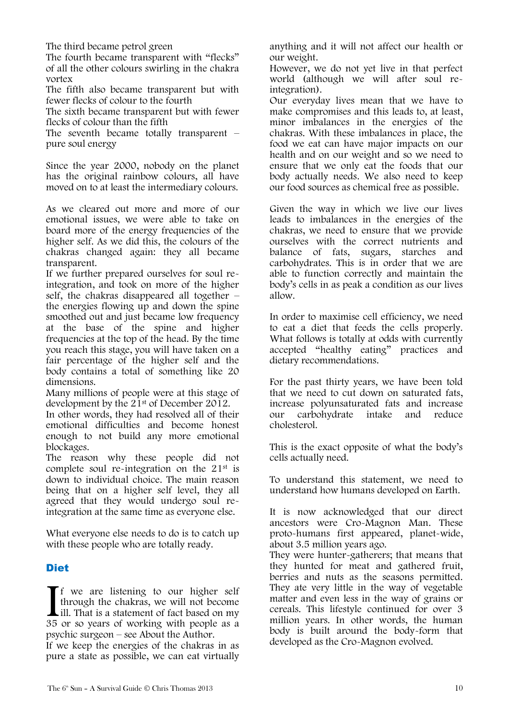The third became petrol green

The fourth became transparent with "flecks" of all the other colours swirling in the chakra vortex

The fifth also became transparent but with fewer flecks of colour to the fourth

The sixth became transparent but with fewer flecks of colour than the fifth

The seventh became totally transparent – pure soul energy

Since the year 2000, nobody on the planet has the original rainbow colours, all have moved on to at least the intermediary colours.

As we cleared out more and more of our emotional issues, we were able to take on board more of the energy frequencies of the higher self. As we did this, the colours of the chakras changed again: they all became transparent.

If we further prepared ourselves for soul reintegration, and took on more of the higher self, the chakras disappeared all together – the energies flowing up and down the spine smoothed out and just became low frequency at the base of the spine and higher frequencies at the top of the head. By the time you reach this stage, you will have taken on a fair percentage of the higher self and the body contains a total of something like 20 dimensions.

Many millions of people were at this stage of development by the 21st of December 2012.

In other words, they had resolved all of their emotional difficulties and become honest enough to not build any more emotional blockages.

The reason why these people did not complete soul re-integration on the 21st is down to individual choice. The main reason being that on a higher self level, they all agreed that they would undergo soul reintegration at the same time as everyone else.

What everyone else needs to do is to catch up with these people who are totally ready.

### **Diet**

**T** f we are listening to our higher self through the chakras, we will not become ill. That is a statement of fact based on my 35 or so years of working with people as a psychic surgeon – see About the Author.  $\prod_{35}$ 

If we keep the energies of the chakras in as pure a state as possible, we can eat virtually anything and it will not affect our health or our weight.

However, we do not yet live in that perfect world (although we will after soul reintegration).

Our everyday lives mean that we have to make compromises and this leads to, at least, minor imbalances in the energies of the chakras. With these imbalances in place, the food we eat can have major impacts on our health and on our weight and so we need to ensure that we only eat the foods that our body actually needs. We also need to keep our food sources as chemical free as possible.

Given the way in which we live our lives leads to imbalances in the energies of the chakras, we need to ensure that we provide ourselves with the correct nutrients and balance of fats, sugars, starches and carbohydrates. This is in order that we are able to function correctly and maintain the body"s cells in as peak a condition as our lives allow.

In order to maximise cell efficiency, we need to eat a diet that feeds the cells properly. What follows is totally at odds with currently accepted "healthy eating" practices and dietary recommendations.

For the past thirty years, we have been told that we need to cut down on saturated fats, increase polyunsaturated fats and increase our carbohydrate intake and reduce cholesterol.

This is the exact opposite of what the body"s cells actually need.

To understand this statement, we need to understand how humans developed on Earth.

It is now acknowledged that our direct ancestors were Cro-Magnon Man. These proto-humans first appeared, planet-wide, about 3.5 million years ago.

They were hunter-gatherers; that means that they hunted for meat and gathered fruit, berries and nuts as the seasons permitted. They ate very little in the way of vegetable matter and even less in the way of grains or cereals. This lifestyle continued for over 3 million years. In other words, the human body is built around the body-form that developed as the Cro-Magnon evolved.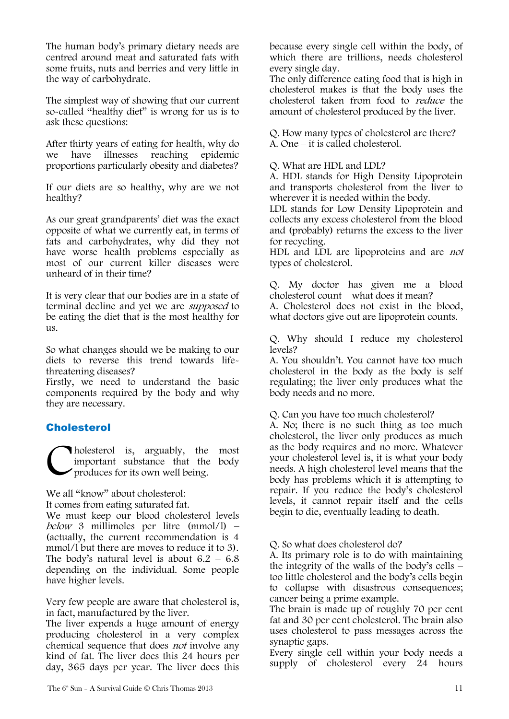The human body"s primary dietary needs are centred around meat and saturated fats with some fruits, nuts and berries and very little in the way of carbohydrate.

The simplest way of showing that our current so-called "healthy diet" is wrong for us is to ask these questions:

After thirty years of eating for health, why do we have illnesses reaching epidemic proportions particularly obesity and diabetes?

If our diets are so healthy, why are we not healthy?

As our great grandparents' diet was the exact opposite of what we currently eat, in terms of fats and carbohydrates, why did they not have worse health problems especially as most of our current killer diseases were unheard of in their time?

It is very clear that our bodies are in a state of terminal decline and yet we are supposed to be eating the diet that is the most healthy for us.

So what changes should we be making to our diets to reverse this trend towards lifethreatening diseases?

Firstly, we need to understand the basic components required by the body and why they are necessary.

### **Cholesterol**

holesterol is, arguably, the most important substance that the body produces for its own well being. C

We all "know" about cholesterol:

It comes from eating saturated fat.

We must keep our blood cholesterol levels below 3 millimoles per litre (mmol/l) – (actually, the current recommendation is 4 mmol/l but there are moves to reduce it to 3). The body's natural level is about  $6.2 - 6.8$ depending on the individual. Some people have higher levels.

Very few people are aware that cholesterol is, in fact, manufactured by the liver.

The liver expends a huge amount of energy producing cholesterol in a very complex chemical sequence that does not involve any kind of fat. The liver does this 24 hours per day, 365 days per year. The liver does this because every single cell within the body, of which there are trillions, needs cholesterol every single day.

The only difference eating food that is high in cholesterol makes is that the body uses the cholesterol taken from food to reduce the amount of cholesterol produced by the liver.

Q. How many types of cholesterol are there? A. One – it is called cholesterol.

#### Q. What are HDL and LDL?

A. HDL stands for High Density Lipoprotein and transports cholesterol from the liver to wherever it is needed within the body.

LDL stands for Low Density Lipoprotein and collects any excess cholesterol from the blood and (probably) returns the excess to the liver for recycling.

HDL and LDL are lipoproteins and are not types of cholesterol.

Q. My doctor has given me a blood cholesterol count – what does it mean?

A. Cholesterol does not exist in the blood, what doctors give out are lipoprotein counts.

Q. Why should I reduce my cholesterol levels?

A. You shouldn"t. You cannot have too much cholesterol in the body as the body is self regulating; the liver only produces what the body needs and no more.

Q. Can you have too much cholesterol?

A. No; there is no such thing as too much cholesterol, the liver only produces as much as the body requires and no more. Whatever your cholesterol level is, it is what your body needs. A high cholesterol level means that the body has problems which it is attempting to repair. If you reduce the body"s cholesterol levels, it cannot repair itself and the cells begin to die, eventually leading to death.

Q. So what does cholesterol do?

A. Its primary role is to do with maintaining the integrity of the walls of the body"s cells – too little cholesterol and the body"s cells begin to collapse with disastrous consequences; cancer being a prime example.

The brain is made up of roughly 70 per cent fat and 30 per cent cholesterol. The brain also uses cholesterol to pass messages across the synaptic gaps.

Every single cell within your body needs a supply of cholesterol every 24 hours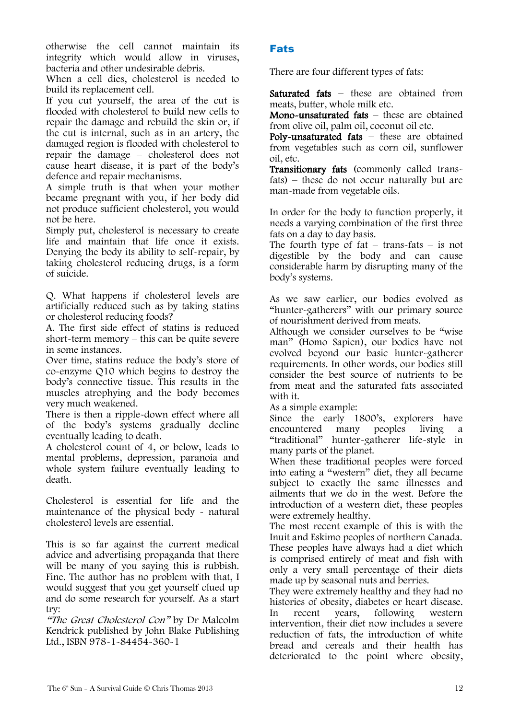otherwise the cell cannot maintain its integrity which would allow in viruses, bacteria and other undesirable debris.

When a cell dies, cholesterol is needed to build its replacement cell.

If you cut yourself, the area of the cut is flooded with cholesterol to build new cells to repair the damage and rebuild the skin or, if the cut is internal, such as in an artery, the damaged region is flooded with cholesterol to repair the damage – cholesterol does not cause heart disease, it is part of the body"s defence and repair mechanisms.

A simple truth is that when your mother became pregnant with you, if her body did not produce sufficient cholesterol, you would not be here.

Simply put, cholesterol is necessary to create life and maintain that life once it exists. Denying the body its ability to self-repair, by taking cholesterol reducing drugs, is a form of suicide.

Q. What happens if cholesterol levels are artificially reduced such as by taking statins or cholesterol reducing foods?

A. The first side effect of statins is reduced short-term memory – this can be quite severe in some instances.

Over time, statins reduce the body"s store of co-enzyme Q10 which begins to destroy the body"s connective tissue. This results in the muscles atrophying and the body becomes very much weakened.

There is then a ripple-down effect where all of the body"s systems gradually decline eventually leading to death.

A cholesterol count of 4, or below, leads to mental problems, depression, paranoia and whole system failure eventually leading to death.

Cholesterol is essential for life and the maintenance of the physical body - natural cholesterol levels are essential.

This is so far against the current medical advice and advertising propaganda that there will be many of you saying this is rubbish. Fine. The author has no problem with that, I would suggest that you get yourself clued up and do some research for yourself. As a start try:

"The Great Cholesterol Con" by Dr Malcolm Kendrick published by John Blake Publishing Ltd., ISBN 978-1-84454-360-1

### Fats

There are four different types of fats:

Saturated fats – these are obtained from meats, butter, whole milk etc.

Mono-unsaturated fats – these are obtained from olive oil, palm oil, coconut oil etc.

Poly-unsaturated fats – these are obtained from vegetables such as corn oil, sunflower oil, etc.

Transitionary fats (commonly called transfats) – these do not occur naturally but are man-made from vegetable oils.

In order for the body to function properly, it needs a varying combination of the first three fats on a day to day basis.

The fourth type of  $fat - trans-fats - is not$ digestible by the body and can cause considerable harm by disrupting many of the body"s systems.

As we saw earlier, our bodies evolved as "hunter-gatherers" with our primary source of nourishment derived from meats.

Although we consider ourselves to be "wise man" (Homo Sapien), our bodies have not evolved beyond our basic hunter-gatherer requirements. In other words, our bodies still consider the best source of nutrients to be from meat and the saturated fats associated with it.

As a simple example:

Since the early 1800's, explorers have encountered many peoples living a "traditional" hunter-gatherer life-style in many parts of the planet.

When these traditional peoples were forced into eating a "western" diet, they all became subject to exactly the same illnesses and ailments that we do in the west. Before the introduction of a western diet, these peoples were extremely healthy.

The most recent example of this is with the Inuit and Eskimo peoples of northern Canada. These peoples have always had a diet which is comprised entirely of meat and fish with only a very small percentage of their diets made up by seasonal nuts and berries.

They were extremely healthy and they had no histories of obesity, diabetes or heart disease. In recent years, following western intervention, their diet now includes a severe reduction of fats, the introduction of white bread and cereals and their health has deteriorated to the point where obesity,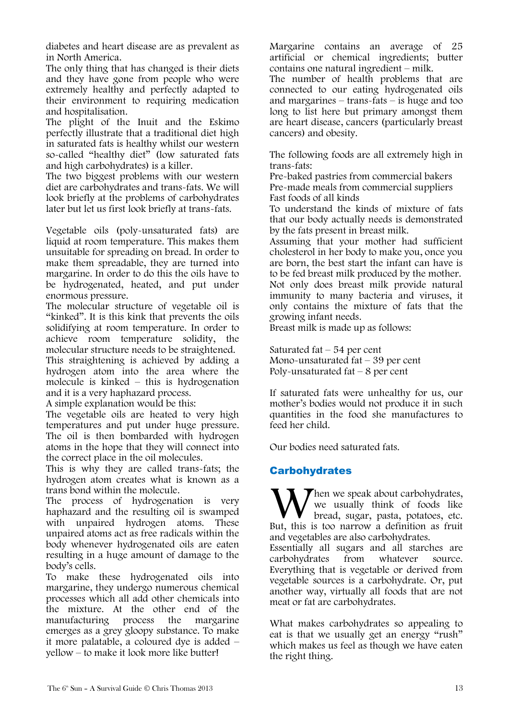diabetes and heart disease are as prevalent as in North America.

The only thing that has changed is their diets and they have gone from people who were extremely healthy and perfectly adapted to their environment to requiring medication and hospitalisation.

The plight of the Inuit and the Eskimo perfectly illustrate that a traditional diet high in saturated fats is healthy whilst our western so-called "healthy diet" (low saturated fats and high carbohydrates) is a killer.

The two biggest problems with our western diet are carbohydrates and trans-fats. We will look briefly at the problems of carbohydrates later but let us first look briefly at trans-fats.

Vegetable oils (poly-unsaturated fats) are liquid at room temperature. This makes them unsuitable for spreading on bread. In order to make them spreadable, they are turned into margarine. In order to do this the oils have to be hydrogenated, heated, and put under enormous pressure.

The molecular structure of vegetable oil is "kinked". It is this kink that prevents the oils solidifying at room temperature. In order to achieve room temperature solidity, the molecular structure needs to be straightened.

This straightening is achieved by adding a hydrogen atom into the area where the molecule is kinked – this is hydrogenation and it is a very haphazard process.

A simple explanation would be this:

The vegetable oils are heated to very high temperatures and put under huge pressure. The oil is then bombarded with hydrogen atoms in the hope that they will connect into the correct place in the oil molecules.

This is why they are called trans-fats; the hydrogen atom creates what is known as a trans bond within the molecule.

The process of hydrogenation is very haphazard and the resulting oil is swamped with unpaired hydrogen atoms. These unpaired atoms act as free radicals within the body whenever hydrogenated oils are eaten resulting in a huge amount of damage to the body"s cells.

To make these hydrogenated oils into margarine, they undergo numerous chemical processes which all add other chemicals into the mixture. At the other end of the manufacturing process the margarine emerges as a grey gloopy substance. To make it more palatable, a coloured dye is added – yellow – to make it look more like butter!

Margarine contains an average of 25 artificial or chemical ingredients; butter contains one natural ingredient – milk.

The number of health problems that are connected to our eating hydrogenated oils and margarines – trans-fats – is huge and too long to list here but primary amongst them are heart disease, cancers (particularly breast cancers) and obesity.

The following foods are all extremely high in trans-fats:

Pre-baked pastries from commercial bakers Pre-made meals from commercial suppliers Fast foods of all kinds

To understand the kinds of mixture of fats that our body actually needs is demonstrated by the fats present in breast milk.

Assuming that your mother had sufficient cholesterol in her body to make you, once you are born, the best start the infant can have is to be fed breast milk produced by the mother. Not only does breast milk provide natural immunity to many bacteria and viruses, it only contains the mixture of fats that the growing infant needs.

Breast milk is made up as follows:

Saturated fat  $-54$  per cent Mono-unsaturated fat – 39 per cent Poly-unsaturated fat  $-8$  per cent

If saturated fats were unhealthy for us, our mother"s bodies would not produce it in such quantities in the food she manufactures to feed her child.

Our bodies need saturated fats.

### **Carbohydrates**

Then we speak about carbohydrates, we usually think of foods like bread, sugar, pasta, potatoes, etc. When we speak about carbohydrates, we usually think of foods like bread, sugar, pasta, potatoes, etc. But, this is too narrow a definition as fruit and vegetables are also carbohydrates. Essentially all sugars and all starches are carbohydrates from whatever source. Everything that is vegetable or derived from vegetable sources is a carbohydrate. Or, put another way, virtually all foods that are not meat or fat are carbohydrates.

What makes carbohydrates so appealing to eat is that we usually get an energy "rush" which makes us feel as though we have eaten the right thing.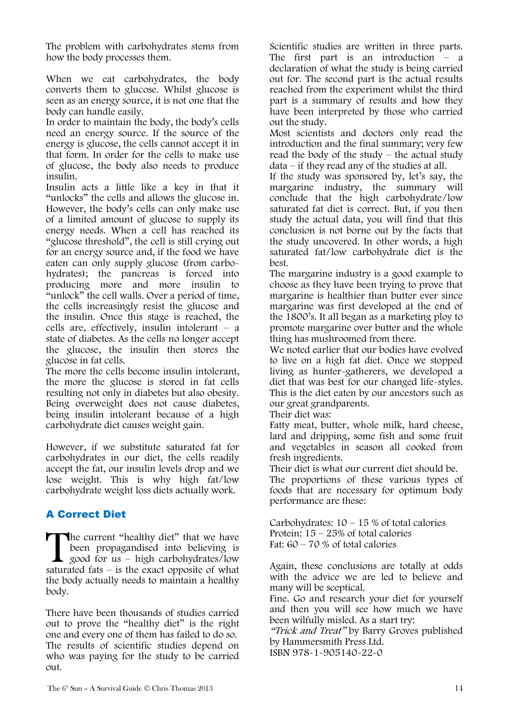The problem with carbohydrates stems from how the body processes them.

When we eat carbohydrates, the body converts them to glucose. Whilst glucose is seen as an energy source, it is not one that the body can handle easily.

In order to maintain the body, the body"s cells need an energy source. If the source of the energy is glucose, the cells cannot accept it in that form. In order for the cells to make use of glucose, the body also needs to produce insulin.

Insulin acts a little like a key in that it "unlocks" the cells and allows the glucose in. However, the body"s cells can only make use of a limited amount of glucose to supply its energy needs. When a cell has reached its "glucose threshold", the cell is still crying out for an energy source and, if the food we have eaten can only supply glucose (from carbohydrates); the pancreas is forced into producing more and more insulin to "unlock" the cell walls. Over a period of time, the cells increasingly resist the glucose and the insulin. Once this stage is reached, the cells are, effectively, insulin intolerant  $-$  a state of diabetes. As the cells no longer accept the glucose, the insulin then stores the glucose in fat cells.

The more the cells become insulin intolerant, the more the glucose is stored in fat cells resulting not only in diabetes but also obesity. Being overweight does not cause diabetes, being insulin intolerant because of a high carbohydrate diet causes weight gain.

However, if we substitute saturated fat for carbohydrates in our diet, the cells readily accept the fat, our insulin levels drop and we lose weight. This is why high fat/low carbohydrate weight loss diets actually work.

### A Correct Diet

The current "healthy diet" that we have been propagandised into believing is good for us – high carbohydrates/low saturated fats  $-$  is the exact opposite of what the body actually needs to maintain a healthy body.  $\prod_{\text{saturr}}$ 

There have been thousands of studies carried out to prove the "healthy diet" is the right one and every one of them has failed to do so. The results of scientific studies depend on who was paying for the study to be carried out.

Scientific studies are written in three parts. The first part is an introduction – a declaration of what the study is being carried out for. The second part is the actual results reached from the experiment whilst the third part is a summary of results and how they have been interpreted by those who carried out the study.

Most scientists and doctors only read the introduction and the final summary; very few read the body of the study – the actual study data – if they read any of the studies at all.

If the study was sponsored by, let's say, the margarine industry, the summary will conclude that the high carbohydrate/low saturated fat diet is correct. But, if you then study the actual data, you will find that this conclusion is not borne out by the facts that the study uncovered. In other words, a high saturated fat/low carbohydrate diet is the best.

The margarine industry is a good example to choose as they have been trying to prove that margarine is healthier than butter ever since margarine was first developed at the end of the 1800"s. It all began as a marketing ploy to promote margarine over butter and the whole thing has mushroomed from there.

We noted earlier that our bodies have evolved to live on a high fat diet. Once we stopped living as hunter-gatherers, we developed a diet that was best for our changed life-styles. This is the diet eaten by our ancestors such as our great grandparents.

Their diet was:

Fatty meat, butter, whole milk, hard cheese, lard and dripping, some fish and some fruit and vegetables in season all cooked from fresh ingredients.

Their diet is what our current diet should be.

The proportions of these various types of foods that are necessary for optimum body performance are these:

Carbohydrates:  $10 - 15$  % of total calories Protein: 15 – 25% of total calories Fat:  $60 - 70$  % of total calories

Again, these conclusions are totally at odds with the advice we are led to believe and many will be sceptical.

Fine. Go and research your diet for yourself and then you will see how much we have been wilfully misled. As a start try:

"Trick and Treat" by Barry Groves published by Hammersmith Press Ltd. ISBN 978-1-905140-22-0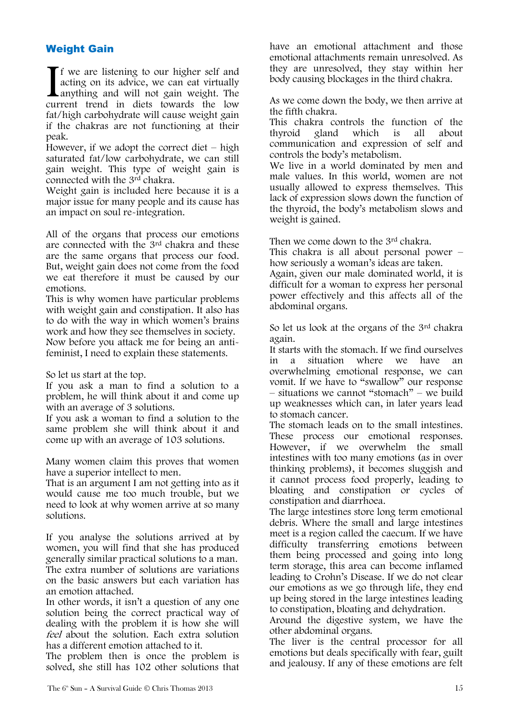### Weight Gain

f we are listening to our higher self and acting on its advice, we can eat virtually **L**anything and will not gain weight. The If we are listening to our higher self and acting on its advice, we can eat virtually anything and will not gain weight. The current trend in diets towards the low fat/high carbohydrate will cause weight gain if the chakras are not functioning at their peak.

However, if we adopt the correct diet  $-$  high saturated fat/low carbohydrate, we can still gain weight. This type of weight gain is connected with the 3rd chakra.

Weight gain is included here because it is a major issue for many people and its cause has an impact on soul re-integration.

All of the organs that process our emotions are connected with the 3rd chakra and these are the same organs that process our food. But, weight gain does not come from the food we eat therefore it must be caused by our emotions.

This is why women have particular problems with weight gain and constipation. It also has to do with the way in which women"s brains work and how they see themselves in society. Now before you attack me for being an antifeminist, I need to explain these statements.

So let us start at the top.

If you ask a man to find a solution to a problem, he will think about it and come up with an average of 3 solutions.

If you ask a woman to find a solution to the same problem she will think about it and come up with an average of 103 solutions.

Many women claim this proves that women have a superior intellect to men.

That is an argument I am not getting into as it would cause me too much trouble, but we need to look at why women arrive at so many solutions.

If you analyse the solutions arrived at by women, you will find that she has produced generally similar practical solutions to a man. The extra number of solutions are variations on the basic answers but each variation has an emotion attached.

In other words, it isn"t a question of any one solution being the correct practical way of dealing with the problem it is how she will feel about the solution. Each extra solution has a different emotion attached to it.

The problem then is once the problem is solved, she still has 102 other solutions that have an emotional attachment and those emotional attachments remain unresolved. As they are unresolved, they stay within her body causing blockages in the third chakra.

As we come down the body, we then arrive at the fifth chakra.

This chakra controls the function of the thyroid gland which is all about communication and expression of self and controls the body"s metabolism.

We live in a world dominated by men and male values. In this world, women are not usually allowed to express themselves. This lack of expression slows down the function of the thyroid, the body"s metabolism slows and weight is gained.

Then we come down to the 3rd chakra.

This chakra is all about personal power – how seriously a woman's ideas are taken.

Again, given our male dominated world, it is difficult for a woman to express her personal power effectively and this affects all of the abdominal organs.

So let us look at the organs of the 3rd chakra again.

It starts with the stomach. If we find ourselves<br>in a situation where we have an in a situation where we have an overwhelming emotional response, we can vomit. If we have to "swallow" our response – situations we cannot "stomach" – we build up weaknesses which can, in later years lead to stomach cancer.

The stomach leads on to the small intestines. These process our emotional responses. However, if we overwhelm the small intestines with too many emotions (as in over thinking problems), it becomes sluggish and it cannot process food properly, leading to bloating and constipation or cycles of constipation and diarrhoea.

The large intestines store long term emotional debris. Where the small and large intestines meet is a region called the caecum. If we have difficulty transferring emotions between them being processed and going into long term storage, this area can become inflamed leading to Crohn"s Disease. If we do not clear our emotions as we go through life, they end up being stored in the large intestines leading to constipation, bloating and dehydration.

Around the digestive system, we have the other abdominal organs.

The liver is the central processor for all emotions but deals specifically with fear, guilt and jealousy. If any of these emotions are felt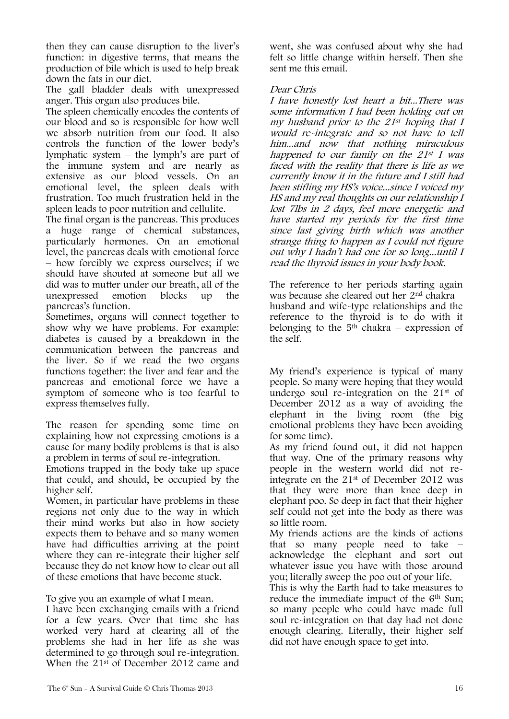then they can cause disruption to the liver"s function: in digestive terms, that means the production of bile which is used to help break down the fats in our diet.

The gall bladder deals with unexpressed anger. This organ also produces bile.

The spleen chemically encodes the contents of our blood and so is responsible for how well we absorb nutrition from our food. It also controls the function of the lower body"s lymphatic system  $-$  the lymph's are part of the immune system and are nearly as extensive as our blood vessels. On an emotional level, the spleen deals with frustration. Too much frustration held in the spleen leads to poor nutrition and cellulite.

The final organ is the pancreas. This produces a huge range of chemical substances, particularly hormones. On an emotional level, the pancreas deals with emotional force – how forcibly we express ourselves; if we should have shouted at someone but all we did was to mutter under our breath, all of the unexpressed emotion blocks up the pancreas"s function.

Sometimes, organs will connect together to show why we have problems. For example: diabetes is caused by a breakdown in the communication between the pancreas and the liver. So if we read the two organs functions together: the liver and fear and the pancreas and emotional force we have a symptom of someone who is too fearful to express themselves fully.

The reason for spending some time on explaining how not expressing emotions is a cause for many bodily problems is that is also a problem in terms of soul re-integration.

Emotions trapped in the body take up space that could, and should, be occupied by the higher self.

Women, in particular have problems in these regions not only due to the way in which their mind works but also in how society expects them to behave and so many women have had difficulties arriving at the point where they can re-integrate their higher self because they do not know how to clear out all of these emotions that have become stuck.

To give you an example of what I mean.

I have been exchanging emails with a friend for a few years. Over that time she has worked very hard at clearing all of the problems she had in her life as she was determined to go through soul re-integration. When the 21st of December 2012 came and

went, she was confused about why she had felt so little change within herself. Then she sent me this email.

#### Dear Chris

I have honestly lost heart a bit...There was some information I had been holding out on my husband prior to the  $21^{st}$  hoping that I would re-integrate and so not have to tell him...and now that nothing miraculous happened to our family on the 21st I was faced with the reality that there is life as we currently know it in the future and I still had been stifling my HS"s voice...since I voiced my HS and my real thoughts on our relationship I lost 7lbs in 2 days, feel more energetic and have started my periods for the first time since last giving birth which was another strange thing to happen as I could not figure out why I hadn"t had one for so long...until I read the thyroid issues in your body book.

The reference to her periods starting again was because she cleared out her 2nd chakra – husband and wife-type relationships and the reference to the thyroid is to do with it belonging to the  $5<sup>th</sup>$  chakra – expression of the self.

My friend"s experience is typical of many people. So many were hoping that they would undergo soul re-integration on the 21st of December 2012 as a way of avoiding the elephant in the living room (the big emotional problems they have been avoiding for some time).

As my friend found out, it did not happen that way. One of the primary reasons why people in the western world did not reintegrate on the 21st of December 2012 was that they were more than knee deep in elephant poo. So deep in fact that their higher self could not get into the body as there was so little room.

My friends actions are the kinds of actions that so many people need to take – acknowledge the elephant and sort out whatever issue you have with those around you; literally sweep the poo out of your life.

This is why the Earth had to take measures to reduce the immediate impact of the 6<sup>th</sup> Sun; so many people who could have made full soul re-integration on that day had not done enough clearing. Literally, their higher self did not have enough space to get into.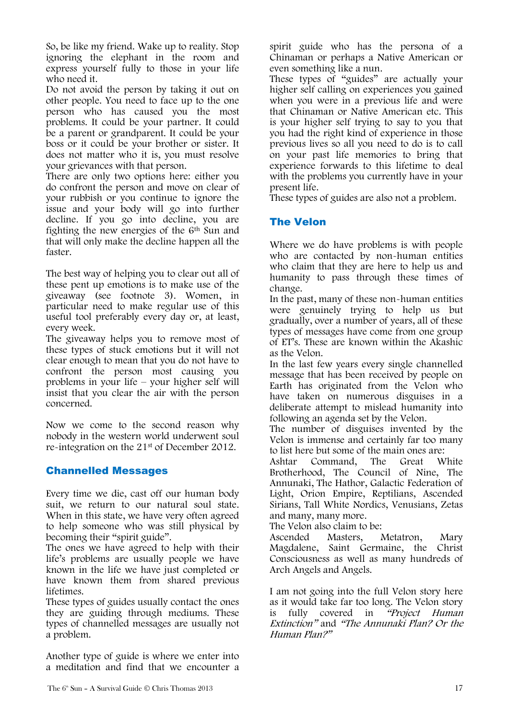So, be like my friend. Wake up to reality. Stop ignoring the elephant in the room and express yourself fully to those in your life who need it.

Do not avoid the person by taking it out on other people. You need to face up to the one person who has caused you the most problems. It could be your partner. It could be a parent or grandparent. It could be your boss or it could be your brother or sister. It does not matter who it is, you must resolve your grievances with that person.

There are only two options here: either you do confront the person and move on clear of your rubbish or you continue to ignore the issue and your body will go into further decline. If you go into decline, you are fighting the new energies of the 6th Sun and that will only make the decline happen all the faster.

The best way of helping you to clear out all of these pent up emotions is to make use of the giveaway (see footnote 3). Women, in particular need to make regular use of this useful tool preferably every day or, at least, every week.

The giveaway helps you to remove most of these types of stuck emotions but it will not clear enough to mean that you do not have to confront the person most causing you problems in your life – your higher self will insist that you clear the air with the person concerned.

Now we come to the second reason why nobody in the western world underwent soul re-integration on the 21st of December 2012.

### Channelled Messages

Every time we die, cast off our human body suit, we return to our natural soul state. When in this state, we have very often agreed to help someone who was still physical by becoming their "spirit guide".

The ones we have agreed to help with their life"s problems are usually people we have known in the life we have just completed or have known them from shared previous lifetimes.

These types of guides usually contact the ones they are guiding through mediums. These types of channelled messages are usually not a problem.

Another type of guide is where we enter into a meditation and find that we encounter a spirit guide who has the persona of a Chinaman or perhaps a Native American or even something like a nun.

These types of "guides" are actually your higher self calling on experiences you gained when you were in a previous life and were that Chinaman or Native American etc. This is your higher self trying to say to you that you had the right kind of experience in those previous lives so all you need to do is to call on your past life memories to bring that experience forwards to this lifetime to deal with the problems you currently have in your present life.

These types of guides are also not a problem.

### The Velon

Where we do have problems is with people who are contacted by non-human entities who claim that they are here to help us and humanity to pass through these times of change.

In the past, many of these non-human entities were genuinely trying to help us but gradually, over a number of years, all of these types of messages have come from one group of ET"s. These are known within the Akashic as the Velon.

In the last few years every single channelled message that has been received by people on Earth has originated from the Velon who have taken on numerous disguises in a deliberate attempt to mislead humanity into following an agenda set by the Velon.

The number of disguises invented by the Velon is immense and certainly far too many to list here but some of the main ones are:

Ashtar Command, The Great White Brotherhood, The Council of Nine, The Annunaki, The Hathor, Galactic Federation of Light, Orion Empire, Reptilians, Ascended Sirians, Tall White Nordics, Venusians, Zetas and many, many more.

The Velon also claim to be:

Ascended Masters, Metatron, Mary Magdalene, Saint Germaine, the Christ Consciousness as well as many hundreds of Arch Angels and Angels.

I am not going into the full Velon story here as it would take far too long. The Velon story<br>is fully covered in "Project Human" is fully covered in Extinction" and "The Annunaki Plan? Or the Human Plan?"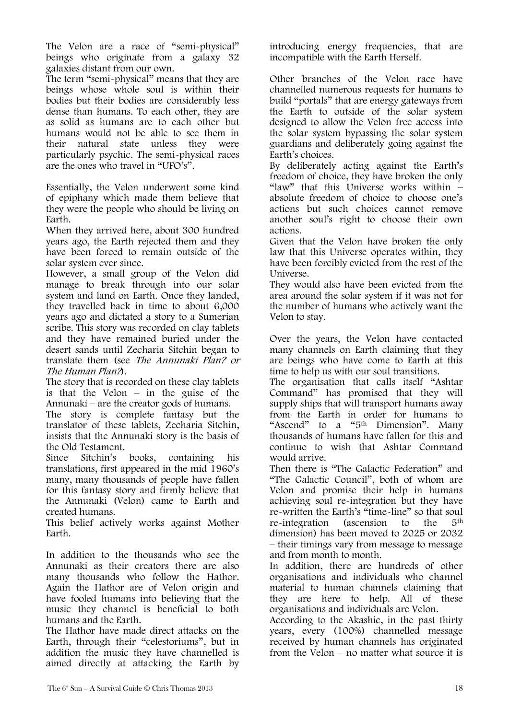The Velon are a race of "semi-physical" beings who originate from a galaxy 32 galaxies distant from our own.

The term "semi-physical" means that they are beings whose whole soul is within their bodies but their bodies are considerably less dense than humans. To each other, they are as solid as humans are to each other but humans would not be able to see them in<br>their natural state unless they were their natural state unless they were particularly psychic. The semi-physical races are the ones who travel in "UFO"s".

Essentially, the Velon underwent some kind of epiphany which made them believe that they were the people who should be living on Earth.

When they arrived here, about 300 hundred years ago, the Earth rejected them and they have been forced to remain outside of the solar system ever since.

However, a small group of the Velon did manage to break through into our solar system and land on Earth. Once they landed, they travelled back in time to about 6,000 years ago and dictated a story to a Sumerian scribe. This story was recorded on clay tablets and they have remained buried under the desert sands until Zecharia Sitchin began to translate them (see The Annunaki Plan? or The Human Plan?).

The story that is recorded on these clay tablets is that the Velon – in the guise of the Annunaki – are the creator gods of humans.

The story is complete fantasy but the translator of these tablets, Zecharia Sitchin, insists that the Annunaki story is the basis of the Old Testament.

Since Sitchin"s books, containing his translations, first appeared in the mid 1960"s many, many thousands of people have fallen for this fantasy story and firmly believe that the Annunaki (Velon) came to Earth and created humans.

This belief actively works against Mother Earth.

In addition to the thousands who see the Annunaki as their creators there are also many thousands who follow the Hathor. Again the Hathor are of Velon origin and have fooled humans into believing that the music they channel is beneficial to both humans and the Earth.

The Hathor have made direct attacks on the Earth, through their "celestoriums", but in addition the music they have channelled is aimed directly at attacking the Earth by introducing energy frequencies, that are incompatible with the Earth Herself.

Other branches of the Velon race have channelled numerous requests for humans to build "portals" that are energy gateways from the Earth to outside of the solar system designed to allow the Velon free access into the solar system bypassing the solar system guardians and deliberately going against the Earth's choices.

By deliberately acting against the Earth"s freedom of choice, they have broken the only "law" that this Universe works within  $$ absolute freedom of choice to choose one"s actions but such choices cannot remove another soul"s right to choose their own actions.

Given that the Velon have broken the only law that this Universe operates within, they have been forcibly evicted from the rest of the Universe.

They would also have been evicted from the area around the solar system if it was not for the number of humans who actively want the Velon to stay.

Over the years, the Velon have contacted many channels on Earth claiming that they are beings who have come to Earth at this time to help us with our soul transitions.

The organisation that calls itself "Ashtar Command" has promised that they will supply ships that will transport humans away from the Earth in order for humans to "Ascend" to a "5<sup>th</sup> Dimension". Many thousands of humans have fallen for this and continue to wish that Ashtar Command would arrive.

Then there is "The Galactic Federation" and "The Galactic Council", both of whom are Velon and promise their help in humans achieving soul re-integration but they have re-written the Earth"s "time-line" so that soul re-integration (ascension to the 5th dimension) has been moved to 2025 or 2032 – their timings vary from message to message and from month to month.

In addition, there are hundreds of other organisations and individuals who channel material to human channels claiming that they are here to help. All of these organisations and individuals are Velon.

According to the Akashic, in the past thirty years, every (100%) channelled message received by human channels has originated from the Velon – no matter what source it is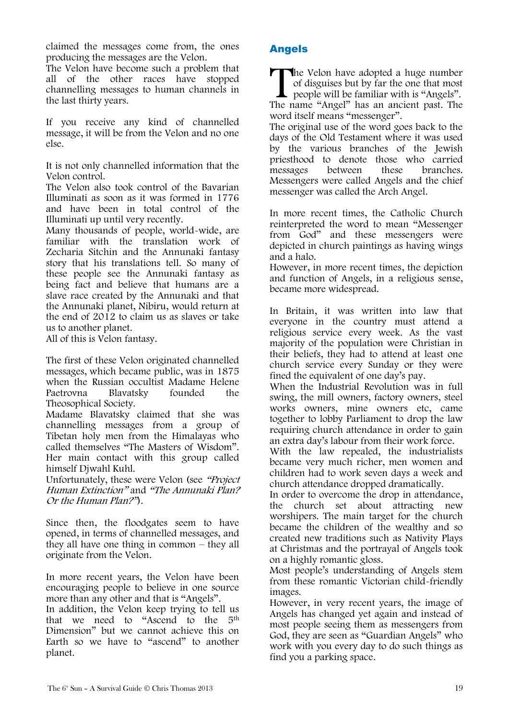claimed the messages come from, the ones producing the messages are the Velon.

The Velon have become such a problem that all of the other races have stopped channelling messages to human channels in the last thirty years.

If you receive any kind of channelled message, it will be from the Velon and no one else.

It is not only channelled information that the Velon control.

The Velon also took control of the Bavarian Illuminati as soon as it was formed in 1776 and have been in total control of the Illuminati up until very recently.

Many thousands of people, world-wide, are familiar with the translation work of Zecharia Sitchin and the Annunaki fantasy story that his translations tell. So many of these people see the Annunaki fantasy as being fact and believe that humans are a slave race created by the Annunaki and that the Annunaki planet, Nibiru, would return at the end of 2012 to claim us as slaves or take us to another planet.

All of this is Velon fantasy.

The first of these Velon originated channelled messages, which became public, was in 1875 when the Russian occultist Madame Helene Paetrovna Blavatsky founded the Theosophical Society.

Madame Blavatsky claimed that she was channelling messages from a group of Tibetan holy men from the Himalayas who called themselves "The Masters of Wisdom". Her main contact with this group called himself Djwahl Kuhl.

Unfortunately, these were Velon (see "Project Human Extinction" and "The Annunaki Plan? Or the Human Plan?").

Since then, the floodgates seem to have opened, in terms of channelled messages, and they all have one thing in common – they all originate from the Velon.

In more recent years, the Velon have been encouraging people to believe in one source more than any other and that is "Angels".

In addition, the Velon keep trying to tell us that we need to "Ascend to the 5th Dimension" but we cannot achieve this on Earth so we have to "ascend" to another planet.

### Angels

**The Velon have adopted a huge number** of disguises but by far the one that most people will be familiar with is "Angels". The Velon have adopted a huge number<br>of disguises but by far the one that most<br>people will be familiar with is "Angels".<br>The name "Angel" has an ancient past. The

word itself means "messenger". The original use of the word goes back to the days of the Old Testament where it was used by the various branches of the Jewish priesthood to denote those who carried messages between these branches. Messengers were called Angels and the chief messenger was called the Arch Angel.

In more recent times, the Catholic Church reinterpreted the word to mean "Messenger from God" and these messengers were depicted in church paintings as having wings and a halo.

However, in more recent times, the depiction and function of Angels, in a religious sense, became more widespread.

In Britain, it was written into law that everyone in the country must attend a religious service every week. As the vast majority of the population were Christian in their beliefs, they had to attend at least one church service every Sunday or they were fined the equivalent of one day's pay.

When the Industrial Revolution was in full swing, the mill owners, factory owners, steel works owners, mine owners etc, came together to lobby Parliament to drop the law requiring church attendance in order to gain an extra day"s labour from their work force.

With the law repealed, the industrialists became very much richer, men women and children had to work seven days a week and church attendance dropped dramatically.

In order to overcome the drop in attendance, the church set about attracting new worshipers. The main target for the church became the children of the wealthy and so created new traditions such as Nativity Plays at Christmas and the portrayal of Angels took on a highly romantic gloss.

Most people"s understanding of Angels stem from these romantic Victorian child-friendly images.

However, in very recent years, the image of Angels has changed yet again and instead of most people seeing them as messengers from God, they are seen as "Guardian Angels" who work with you every day to do such things as find you a parking space.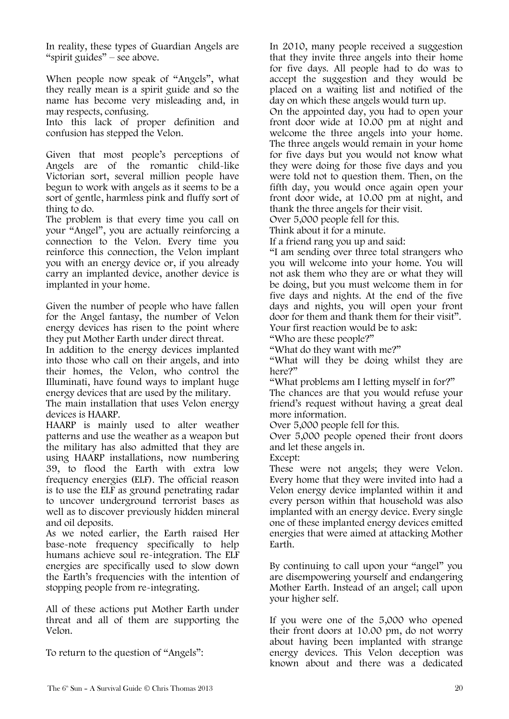In reality, these types of Guardian Angels are "spirit guides" – see above.

When people now speak of "Angels", what they really mean is a spirit guide and so the name has become very misleading and, in may respects, confusing.

Into this lack of proper definition and confusion has stepped the Velon.

Given that most people"s perceptions of Angels are of the romantic child-like Victorian sort, several million people have begun to work with angels as it seems to be a sort of gentle, harmless pink and fluffy sort of thing to do.

The problem is that every time you call on your "Angel", you are actually reinforcing a connection to the Velon. Every time you reinforce this connection, the Velon implant you with an energy device or, if you already carry an implanted device, another device is implanted in your home.

Given the number of people who have fallen for the Angel fantasy, the number of Velon energy devices has risen to the point where they put Mother Earth under direct threat.

In addition to the energy devices implanted into those who call on their angels, and into their homes, the Velon, who control the Illuminati, have found ways to implant huge energy devices that are used by the military.

The main installation that uses Velon energy devices is HAARP.

HAARP is mainly used to alter weather patterns and use the weather as a weapon but the military has also admitted that they are using HAARP installations, now numbering 39, to flood the Earth with extra low frequency energies (ELF). The official reason is to use the ELF as ground penetrating radar to uncover underground terrorist bases as well as to discover previously hidden mineral and oil deposits.

As we noted earlier, the Earth raised Her base-note frequency specifically to help humans achieve soul re-integration. The ELF energies are specifically used to slow down the Earth"s frequencies with the intention of stopping people from re-integrating.

All of these actions put Mother Earth under threat and all of them are supporting the Velon.

To return to the question of "Angels":

In 2010, many people received a suggestion that they invite three angels into their home for five days. All people had to do was to accept the suggestion and they would be placed on a waiting list and notified of the day on which these angels would turn up.

On the appointed day, you had to open your front door wide at 10.00 pm at night and welcome the three angels into your home. The three angels would remain in your home for five days but you would not know what they were doing for those five days and you were told not to question them. Then, on the fifth day, you would once again open your front door wide, at 10.00 pm at night, and thank the three angels for their visit.

Over 5,000 people fell for this.

Think about it for a minute.

If a friend rang you up and said:

"I am sending over three total strangers who you will welcome into your home. You will not ask them who they are or what they will be doing, but you must welcome them in for five days and nights. At the end of the five days and nights, you will open your front door for them and thank them for their visit". Your first reaction would be to ask:

"Who are these people?"

"What do they want with me?"

"What will they be doing whilst they are here?"

"What problems am I letting myself in for?"

The chances are that you would refuse your friend"s request without having a great deal more information.

Over 5,000 people fell for this.

Over 5,000 people opened their front doors and let these angels in.

Except:

These were not angels; they were Velon. Every home that they were invited into had a Velon energy device implanted within it and every person within that household was also implanted with an energy device. Every single one of these implanted energy devices emitted energies that were aimed at attacking Mother Earth.

By continuing to call upon your "angel" you are disempowering yourself and endangering Mother Earth. Instead of an angel; call upon your higher self.

If you were one of the 5,000 who opened their front doors at 10.00 pm, do not worry about having been implanted with strange energy devices. This Velon deception was known about and there was a dedicated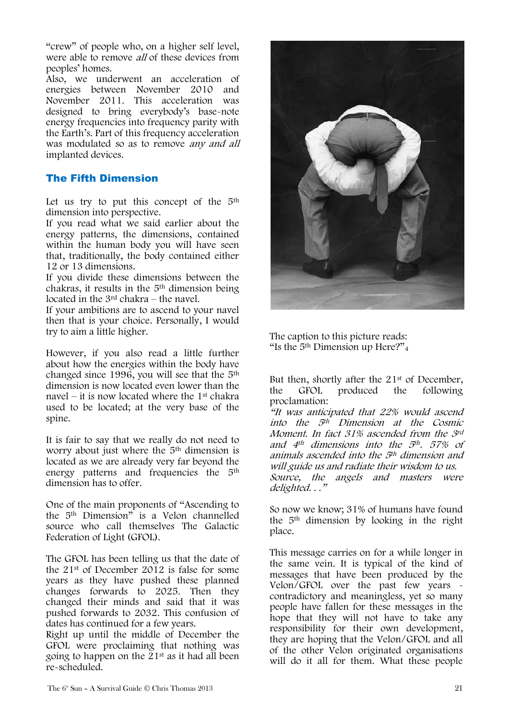"crew" of people who, on a higher self level, were able to remove *all* of these devices from peoples" homes.

Also, we underwent an acceleration of energies between November 2010 and November 2011. This acceleration was designed to bring everybody"s base-note energy frequencies into frequency parity with the Earth"s. Part of this frequency acceleration was modulated so as to remove any and all implanted devices.

#### The Fifth Dimension

Let us try to put this concept of the  $5<sup>th</sup>$ dimension into perspective.

If you read what we said earlier about the energy patterns, the dimensions, contained within the human body you will have seen that, traditionally, the body contained either 12 or 13 dimensions.

If you divide these dimensions between the chakras, it results in the 5th dimension being located in the 3rd chakra – the navel.

If your ambitions are to ascend to your navel then that is your choice. Personally, I would try to aim a little higher.

However, if you also read a little further about how the energies within the body have changed since 1996, you will see that the 5th dimension is now located even lower than the navel – it is now located where the  $1<sup>st</sup>$  chakra used to be located; at the very base of the spine.

It is fair to say that we really do not need to worry about just where the 5<sup>th</sup> dimension is located as we are already very far beyond the energy patterns and frequencies the 5th dimension has to offer.

One of the main proponents of "Ascending to the 5th Dimension" is a Velon channelled source who call themselves The Galactic Federation of Light (GFOL).

The GFOL has been telling us that the date of the 21st of December 2012 is false for some years as they have pushed these planned changes forwards to 2025. Then they changed their minds and said that it was pushed forwards to 2032. This confusion of dates has continued for a few years.

Right up until the middle of December the GFOL were proclaiming that nothing was going to happen on the 21st as it had all been re-scheduled.



The caption to this picture reads: "Is the  $5<sup>th</sup>$  Dimension up Here?"<sub>4</sub>

But then, shortly after the 21<sup>st</sup> of December, the GFOL produced the following proclamation:

"It was anticipated that 22% would ascend into the 5th Dimension at the Cosmic Moment. In fact 31% ascended from the 3rd and  $4<sup>th</sup>$  dimensions into the  $5<sup>th</sup>$ . 57% of animals ascended into the 5th dimension and will guide us and radiate their wisdom to us. Source, the angels and masters were delighted. . ."

So now we know; 31% of humans have found the 5th dimension by looking in the right place.

This message carries on for a while longer in the same vein. It is typical of the kind of messages that have been produced by the Velon/GFOL over the past few years contradictory and meaningless, yet so many people have fallen for these messages in the hope that they will not have to take any responsibility for their own development, they are hoping that the Velon/GFOL and all of the other Velon originated organisations will do it all for them. What these people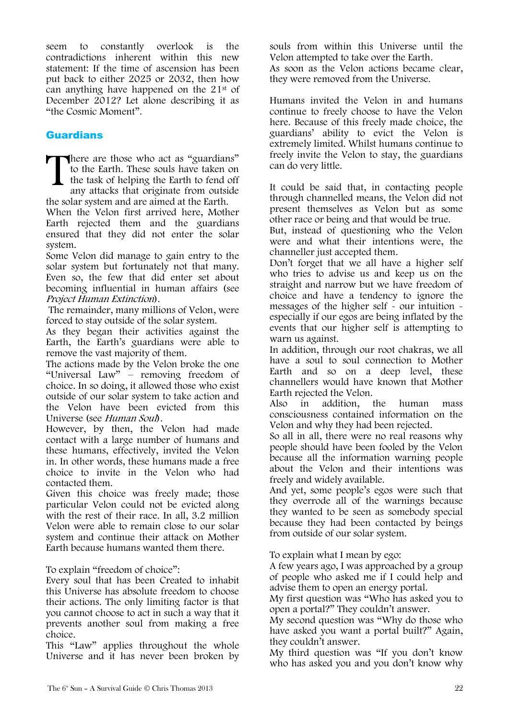seem to constantly overlook is the contradictions inherent within this new statement: If the time of ascension has been put back to either 2025 or 2032, then how can anything have happened on the 21st of December 2012? Let alone describing it as "the Cosmic Moment".

### **Guardians**

There are those who act as "guardians" to the Earth. These souls have taken on the task of helping the Earth to fend off any attacks that originate from outside to the Earth. These souls have taken on the task of helping the Earth to fend off any attacks that originate from outside the solar system and are aimed at the Earth.

When the Velon first arrived here, Mother Earth rejected them and the guardians ensured that they did not enter the solar system.

Some Velon did manage to gain entry to the solar system but fortunately not that many. Even so, the few that did enter set about becoming influential in human affairs (see Project Human Extinction).

The remainder, many millions of Velon, were forced to stay outside of the solar system.

As they began their activities against the Earth, the Earth"s guardians were able to remove the vast majority of them.

The actions made by the Velon broke the one "Universal Law" – removing freedom of choice. In so doing, it allowed those who exist outside of our solar system to take action and the Velon have been evicted from this Universe (see Human Soul).

However, by then, the Velon had made contact with a large number of humans and these humans, effectively, invited the Velon in. In other words, these humans made a free choice to invite in the Velon who had contacted them.

Given this choice was freely made; those particular Velon could not be evicted along with the rest of their race. In all, 3.2 million Velon were able to remain close to our solar system and continue their attack on Mother Earth because humans wanted them there.

To explain "freedom of choice":

Every soul that has been Created to inhabit this Universe has absolute freedom to choose their actions. The only limiting factor is that you cannot choose to act in such a way that it prevents another soul from making a free choice.

This "Law" applies throughout the whole Universe and it has never been broken by souls from within this Universe until the Velon attempted to take over the Earth. As soon as the Velon actions became clear, they were removed from the Universe.

Humans invited the Velon in and humans continue to freely choose to have the Velon here. Because of this freely made choice, the guardians" ability to evict the Velon is extremely limited. Whilst humans continue to freely invite the Velon to stay, the guardians can do very little.

It could be said that, in contacting people through channelled means, the Velon did not present themselves as Velon but as some other race or being and that would be true.

But, instead of questioning who the Velon were and what their intentions were, the channeller just accepted them.

Don"t forget that we all have a higher self who tries to advise us and keep us on the straight and narrow but we have freedom of choice and have a tendency to ignore the messages of the higher self - our intuition especially if our egos are being inflated by the events that our higher self is attempting to warn us against.

In addition, through our root chakras, we all have a soul to soul connection to Mother Earth and so on a deep level, these channellers would have known that Mother Earth rejected the Velon.

Also in addition, the human mass consciousness contained information on the Velon and why they had been rejected.

So all in all, there were no real reasons why people should have been fooled by the Velon because all the information warning people about the Velon and their intentions was freely and widely available.

And yet, some people"s egos were such that they overrode all of the warnings because they wanted to be seen as somebody special because they had been contacted by beings from outside of our solar system.

To explain what I mean by ego:

A few years ago, I was approached by a group of people who asked me if I could help and advise them to open an energy portal.

My first question was "Who has asked you to open a portal?" They couldn"t answer.

My second question was "Why do those who have asked you want a portal built?" Again, they couldn"t answer.

My third question was "If you don"t know who has asked you and you don"t know why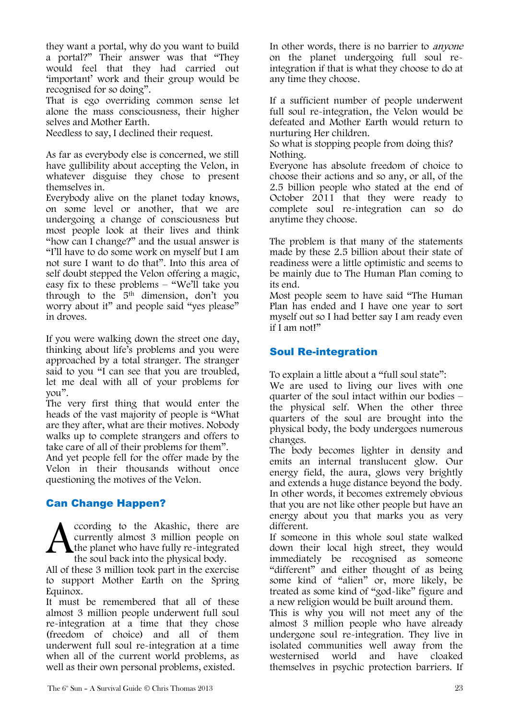they want a portal, why do you want to build a portal?" Their answer was that "They would feel that they had carried out "important" work and their group would be recognised for so doing".

That is ego overriding common sense let alone the mass consciousness, their higher selves and Mother Earth.

Needless to say, I declined their request.

As far as everybody else is concerned, we still have gullibility about accepting the Velon, in whatever disguise they chose to present themselves in.

Everybody alive on the planet today knows, on some level or another, that we are undergoing a change of consciousness but most people look at their lives and think "how can I change?" and the usual answer is "I"ll have to do some work on myself but I am not sure I want to do that". Into this area of self doubt stepped the Velon offering a magic, easy fix to these problems – "We"ll take you through to the 5th dimension, don"t you worry about it" and people said "yes please" in droves.

If you were walking down the street one day, thinking about life"s problems and you were approached by a total stranger. The stranger said to you "I can see that you are troubled, let me deal with all of your problems for you".

The very first thing that would enter the heads of the vast majority of people is "What are they after, what are their motives. Nobody walks up to complete strangers and offers to take care of all of their problems for them".

And yet people fell for the offer made by the Velon in their thousands without once questioning the motives of the Velon.

### Can Change Happen?

ccording to the Akashic, there are currently almost 3 million people on the planet who have fully re-integrated the soul back into the physical body. A

All of these 3 million took part in the exercise to support Mother Earth on the Spring Equinox.

It must be remembered that all of these almost 3 million people underwent full soul re-integration at a time that they chose (freedom of choice) and all of them underwent full soul re-integration at a time when all of the current world problems, as well as their own personal problems, existed.

In other words, there is no barrier to anyone on the planet undergoing full soul reintegration if that is what they choose to do at any time they choose.

If a sufficient number of people underwent full soul re-integration, the Velon would be defeated and Mother Earth would return to nurturing Her children.

So what is stopping people from doing this? Nothing.

Everyone has absolute freedom of choice to choose their actions and so any, or all, of the 2.5 billion people who stated at the end of October 2011 that they were ready to complete soul re-integration can so do anytime they choose.

The problem is that many of the statements made by these 2.5 billion about their state of readiness were a little optimistic and seems to be mainly due to The Human Plan coming to its end.

Most people seem to have said "The Human Plan has ended and I have one year to sort myself out so I had better say I am ready even if I am not!"

### Soul Re-integration

To explain a little about a "full soul state":

We are used to living our lives with one quarter of the soul intact within our bodies – the physical self. When the other three quarters of the soul are brought into the physical body, the body undergoes numerous changes.

The body becomes lighter in density and emits an internal translucent glow. Our energy field, the aura, glows very brightly and extends a huge distance beyond the body. In other words, it becomes extremely obvious that you are not like other people but have an energy about you that marks you as very different.

If someone in this whole soul state walked down their local high street, they would immediately be recognised as someone "different" and either thought of as being some kind of "alien" or, more likely, be treated as some kind of "god-like" figure and a new religion would be built around them.

This is why you will not meet any of the almost 3 million people who have already undergone soul re-integration. They live in isolated communities well away from the westernised world and have cloaked themselves in psychic protection barriers. If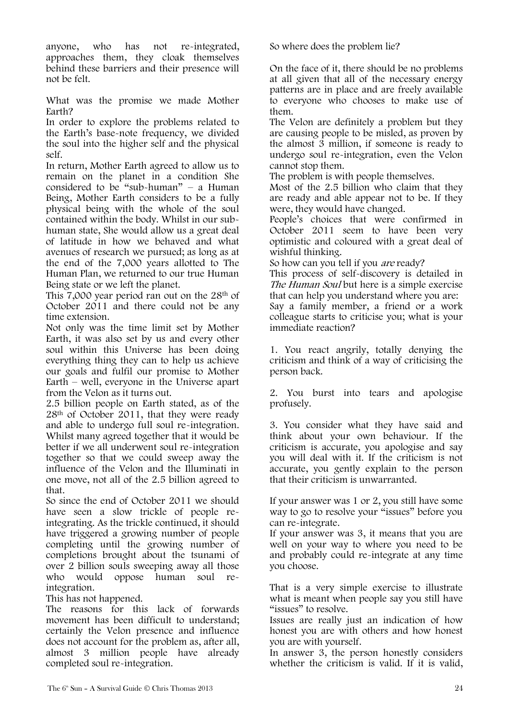anyone, who has not re-integrated, approaches them, they cloak themselves behind these barriers and their presence will not be felt.

What was the promise we made Mother Earth?

In order to explore the problems related to the Earth's base-note frequency, we divided the soul into the higher self and the physical self.

In return, Mother Earth agreed to allow us to remain on the planet in a condition She considered to be "sub-human" – a Human Being, Mother Earth considers to be a fully physical being with the whole of the soul contained within the body. Whilst in our subhuman state, She would allow us a great deal of latitude in how we behaved and what avenues of research we pursued; as long as at the end of the 7,000 years allotted to The Human Plan, we returned to our true Human Being state or we left the planet.

This 7,000 year period ran out on the 28th of October 2011 and there could not be any time extension.

Not only was the time limit set by Mother Earth, it was also set by us and every other soul within this Universe has been doing everything thing they can to help us achieve our goals and fulfil our promise to Mother Earth – well, everyone in the Universe apart from the Velon as it turns out.

2.5 billion people on Earth stated, as of the 28th of October 2011, that they were ready and able to undergo full soul re-integration. Whilst many agreed together that it would be better if we all underwent soul re-integration together so that we could sweep away the influence of the Velon and the Illuminati in one move, not all of the 2.5 billion agreed to that.

So since the end of October 2011 we should have seen a slow trickle of people reintegrating. As the trickle continued, it should have triggered a growing number of people completing until the growing number of completions brought about the tsunami of over 2 billion souls sweeping away all those who would oppose human soul reintegration.

This has not happened.

The reasons for this lack of forwards movement has been difficult to understand; certainly the Velon presence and influence does not account for the problem as, after all, almost 3 million people have already completed soul re-integration.

So where does the problem lie?

On the face of it, there should be no problems at all given that all of the necessary energy patterns are in place and are freely available to everyone who chooses to make use of them.

The Velon are definitely a problem but they are causing people to be misled, as proven by the almost 3 million, if someone is ready to undergo soul re-integration, even the Velon cannot stop them.

The problem is with people themselves.

Most of the 2.5 billion who claim that they are ready and able appear not to be. If they were, they would have changed.

People"s choices that were confirmed in October 2011 seem to have been very optimistic and coloured with a great deal of wishful thinking.

So how can you tell if you are ready?

This process of self-discovery is detailed in The Human Soul but here is a simple exercise that can help you understand where you are: Say a family member, a friend or a work colleague starts to criticise you; what is your immediate reaction?

1. You react angrily, totally denying the criticism and think of a way of criticising the person back.

2. You burst into tears and apologise profusely.

3. You consider what they have said and think about your own behaviour. If the criticism is accurate, you apologise and say you will deal with it. If the criticism is not accurate, you gently explain to the person that their criticism is unwarranted.

If your answer was 1 or 2, you still have some way to go to resolve your "issues" before you can re-integrate.

If your answer was 3, it means that you are well on your way to where you need to be and probably could re-integrate at any time you choose.

That is a very simple exercise to illustrate what is meant when people say you still have "issues" to resolve.

Issues are really just an indication of how honest you are with others and how honest you are with yourself.

In answer 3, the person honestly considers whether the criticism is valid. If it is valid,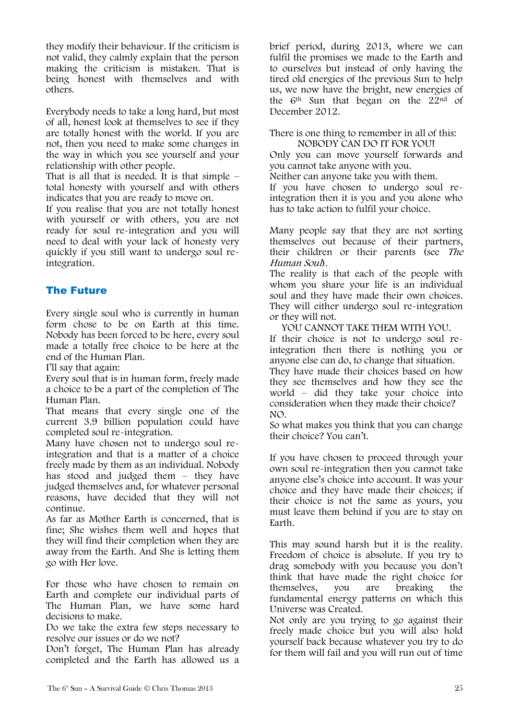they modify their behaviour. If the criticism is not valid, they calmly explain that the person making the criticism is mistaken. That is being honest with themselves and with others.

Everybody needs to take a long hard, but most of all, honest look at themselves to see if they are totally honest with the world. If you are not, then you need to make some changes in the way in which you see yourself and your relationship with other people.

That is all that is needed. It is that simple  $$ total honesty with yourself and with others indicates that you are ready to move on.

If you realise that you are not totally honest with yourself or with others, you are not ready for soul re-integration and you will need to deal with your lack of honesty very quickly if you still want to undergo soul reintegration.

### The Future

Every single soul who is currently in human form chose to be on Earth at this time. Nobody has been forced to be here, every soul made a totally free choice to be here at the end of the Human Plan.

I"ll say that again:

Every soul that is in human form, freely made a choice to be a part of the completion of The Human Plan.

That means that every single one of the current 3.9 billion population could have completed soul re-integration.

Many have chosen not to undergo soul reintegration and that is a matter of a choice freely made by them as an individual. Nobody has stood and judged them – they have judged themselves and, for whatever personal reasons, have decided that they will not continue.

As far as Mother Earth is concerned, that is fine; She wishes them well and hopes that they will find their completion when they are away from the Earth. And She is letting them go with Her love.

For those who have chosen to remain on Earth and complete our individual parts of The Human Plan, we have some hard decisions to make.

Do we take the extra few steps necessary to resolve our issues or do we not?

Don"t forget, The Human Plan has already completed and the Earth has allowed us a brief period, during 2013, where we can fulfil the promises we made to the Earth and to ourselves but instead of only having the tired old energies of the previous Sun to help us, we now have the bright, new energies of the 6th Sun that began on the 22nd of December 2012.

There is one thing to remember in all of this: NOBODY CAN DO IT FOR YOU!

Only you can move yourself forwards and you cannot take anyone with you.

Neither can anyone take you with them.

If you have chosen to undergo soul reintegration then it is you and you alone who has to take action to fulfil your choice.

Many people say that they are not sorting themselves out because of their partners, their children or their parents (see The Human Soul).

The reality is that each of the people with whom you share your life is an individual soul and they have made their own choices. They will either undergo soul re-integration or they will not.

YOU CANNOT TAKE THEM WITH YOU. If their choice is not to undergo soul reintegration then there is nothing you or anyone else can do, to change that situation. They have made their choices based on how they see themselves and how they see the world – did they take your choice into consideration when they made their choice? NO.

So what makes you think that you can change their choice? You can"t.

If you have chosen to proceed through your own soul re-integration then you cannot take anyone else"s choice into account. It was your choice and they have made their choices; if their choice is not the same as yours, you must leave them behind if you are to stay on Earth.

This may sound harsh but it is the reality. Freedom of choice is absolute. If you try to drag somebody with you because you don"t think that have made the right choice for themselves, you are breaking the fundamental energy patterns on which this Universe was Created.

Not only are you trying to go against their freely made choice but you will also hold yourself back because whatever you try to do for them will fail and you will run out of time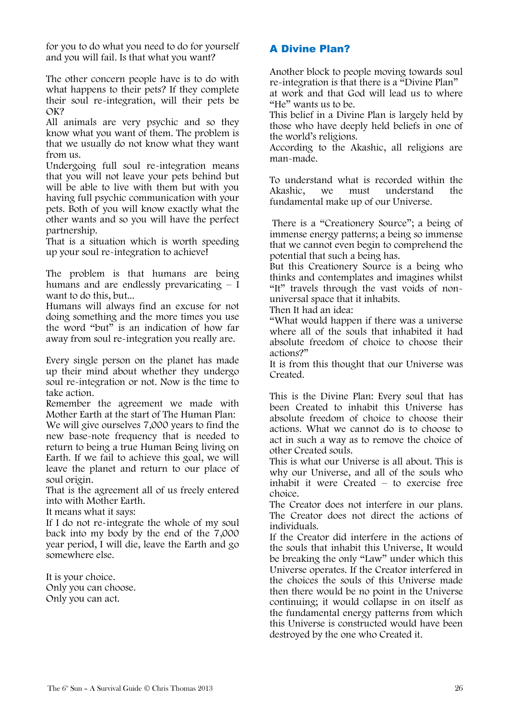for you to do what you need to do for yourself and you will fail. Is that what you want?

The other concern people have is to do with what happens to their pets? If they complete their soul re-integration, will their pets be OK?

All animals are very psychic and so they know what you want of them. The problem is that we usually do not know what they want from us.

Undergoing full soul re-integration means that you will not leave your pets behind but will be able to live with them but with you having full psychic communication with your pets. Both of you will know exactly what the other wants and so you will have the perfect partnership.

That is a situation which is worth speeding up your soul re-integration to achieve!

The problem is that humans are being humans and are endlessly prevaricating  $-\bar{I}$ want to do this, but...

Humans will always find an excuse for not doing something and the more times you use the word "but" is an indication of how far away from soul re-integration you really are.

Every single person on the planet has made up their mind about whether they undergo soul re-integration or not. Now is the time to take action.

Remember the agreement we made with Mother Earth at the start of The Human Plan: We will give ourselves 7,000 years to find the new base-note frequency that is needed to return to being a true Human Being living on Earth. If we fail to achieve this goal, we will leave the planet and return to our place of soul origin.

That is the agreement all of us freely entered into with Mother Earth.

It means what it says:

If I do not re-integrate the whole of my soul back into my body by the end of the 7,000 year period, I will die, leave the Earth and go somewhere else.

It is your choice. Only you can choose. Only you can act.

### A Divine Plan?

Another block to people moving towards soul re-integration is that there is a "Divine Plan" at work and that God will lead us to where "He" wants us to be.

This belief in a Divine Plan is largely held by those who have deeply held beliefs in one of the world"s religions.

According to the Akashic, all religions are man-made.

To understand what is recorded within the<br>Akashic. we must understand the understand fundamental make up of our Universe.

There is a "Creationery Source"; a being of immense energy patterns; a being so immense that we cannot even begin to comprehend the potential that such a being has.

But this Creationery Source is a being who thinks and contemplates and imagines whilst "It" travels through the vast voids of nonuniversal space that it inhabits.

Then It had an idea:

"What would happen if there was a universe where all of the souls that inhabited it had absolute freedom of choice to choose their actions?"

It is from this thought that our Universe was Created.

This is the Divine Plan: Every soul that has been Created to inhabit this Universe has absolute freedom of choice to choose their actions. What we cannot do is to choose to act in such a way as to remove the choice of other Created souls.

This is what our Universe is all about. This is why our Universe, and all of the souls who inhabit it were Created – to exercise free choice.

The Creator does not interfere in our plans. The Creator does not direct the actions of individuals.

If the Creator did interfere in the actions of the souls that inhabit this Universe, It would be breaking the only "Law" under which this Universe operates. If the Creator interfered in the choices the souls of this Universe made then there would be no point in the Universe continuing; it would collapse in on itself as the fundamental energy patterns from which this Universe is constructed would have been destroyed by the one who Created it.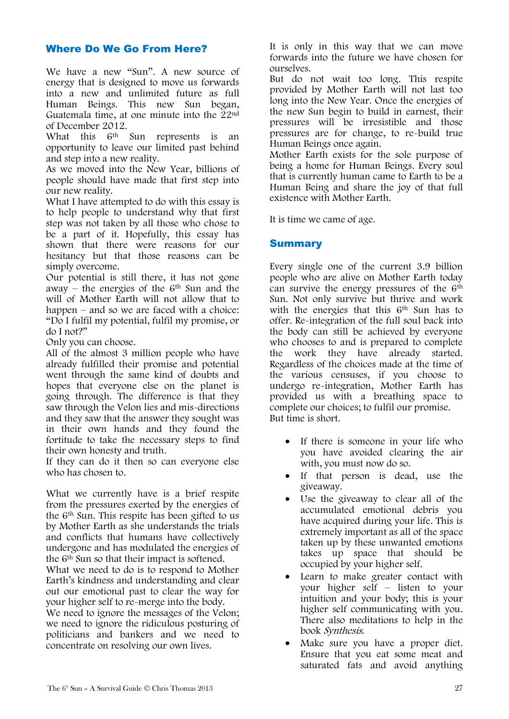### Where Do We Go From Here?

We have a new "Sun". A new source of energy that is designed to move us forwards into a new and unlimited future as full Human Beings. This new Sun began, Guatemala time, at one minute into the 22nd of December 2012.

What this 6th Sun represents is an opportunity to leave our limited past behind and step into a new reality.

As we moved into the New Year, billions of people should have made that first step into our new reality.

What I have attempted to do with this essay is to help people to understand why that first step was not taken by all those who chose to be a part of it. Hopefully, this essay has shown that there were reasons for our hesitancy but that those reasons can be simply overcome.

Our potential is still there, it has not gone away – the energies of the  $6<sup>th</sup>$  Sun and the will of Mother Earth will not allow that to happen – and so we are faced with a choice: "Do I fulfil my potential, fulfil my promise, or do I not?"

Only you can choose.

All of the almost 3 million people who have already fulfilled their promise and potential went through the same kind of doubts and hopes that everyone else on the planet is going through. The difference is that they saw through the Velon lies and mis-directions and they saw that the answer they sought was in their own hands and they found the fortitude to take the necessary steps to find their own honesty and truth.

If they can do it then so can everyone else who has chosen to.

What we currently have is a brief respite from the pressures exerted by the energies of the 6th Sun. This respite has been gifted to us by Mother Earth as she understands the trials and conflicts that humans have collectively undergone and has modulated the energies of the 6th Sun so that their impact is softened.

What we need to do is to respond to Mother Earth"s kindness and understanding and clear out our emotional past to clear the way for your higher self to re-merge into the body.

We need to ignore the messages of the Velon; we need to ignore the ridiculous posturing of politicians and bankers and we need to concentrate on resolving our own lives.

It is only in this way that we can move forwards into the future we have chosen for ourselves.

But do not wait too long. This respite provided by Mother Earth will not last too long into the New Year. Once the energies of the new Sun begin to build in earnest, their pressures will be irresistible and those pressures are for change, to re-build true Human Beings once again.

Mother Earth exists for the sole purpose of being a home for Human Beings. Every soul that is currently human came to Earth to be a Human Being and share the joy of that full existence with Mother Earth.

It is time we came of age.

### **Summary**

Every single one of the current 3.9 billion people who are alive on Mother Earth today can survive the energy pressures of the 6th Sun. Not only survive but thrive and work with the energies that this 6<sup>th</sup> Sun has to offer. Re-integration of the full soul back into the body can still be achieved by everyone who chooses to and is prepared to complete the work they have already started. Regardless of the choices made at the time of the various censuses, if you choose to undergo re-integration, Mother Earth has provided us with a breathing space to complete our choices; to fulfil our promise. But time is short.

- If there is someone in your life who you have avoided clearing the air with, you must now do so.
- If that person is dead, use the giveaway.
- Use the giveaway to clear all of the accumulated emotional debris you have acquired during your life. This is extremely important as all of the space taken up by these unwanted emotions takes up space that should be occupied by your higher self.
- Learn to make greater contact with your higher self – listen to your intuition and your body; this is your higher self communicating with you. There also meditations to help in the book Synthesis.
- Make sure you have a proper diet. Ensure that you eat some meat and saturated fats and avoid anything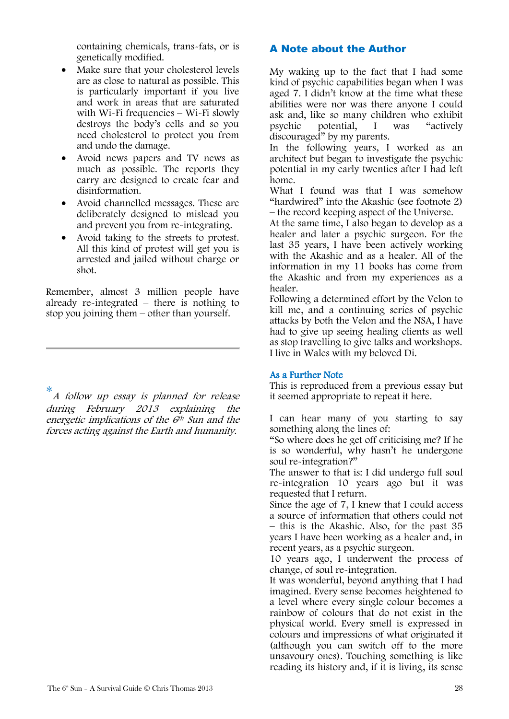containing chemicals, trans-fats, or is genetically modified.

- Make sure that your cholesterol levels are as close to natural as possible. This is particularly important if you live and work in areas that are saturated with Wi-Fi frequencies – Wi-Fi slowly destroys the body"s cells and so you need cholesterol to protect you from and undo the damage.
- Avoid news papers and TV news as much as possible. The reports they carry are designed to create fear and disinformation.
- Avoid channelled messages. These are deliberately designed to mislead you and prevent you from re-integrating.
- Avoid taking to the streets to protest. All this kind of protest will get you is arrested and jailed without charge or shot.

Remember, almost 3 million people have already re-integrated – there is nothing to stop you joining them – other than yourself.

\* A follow up essay is planned for release during February 2013 explaining the energetic implications of the  $6<sup>th</sup>$  Sun and the forces acting against the Earth and humanity.

### A Note about the Author

My waking up to the fact that I had some kind of psychic capabilities began when I was aged 7. I didn"t know at the time what these abilities were nor was there anyone I could ask and, like so many children who exhibit psychic potential, I was "actively discouraged" by my parents.

In the following years, I worked as an architect but began to investigate the psychic potential in my early twenties after I had left home.

What I found was that I was somehow "hardwired" into the Akashic (see footnote 2) – the record keeping aspect of the Universe.

At the same time, I also began to develop as a healer and later a psychic surgeon. For the last 35 years, I have been actively working with the Akashic and as a healer. All of the information in my 11 books has come from the Akashic and from my experiences as a healer.

Following a determined effort by the Velon to kill me, and a continuing series of psychic attacks by both the Velon and the NSA, I have had to give up seeing healing clients as well as stop travelling to give talks and workshops. I live in Wales with my beloved Di.

#### As a Further Note

This is reproduced from a previous essay but it seemed appropriate to repeat it here.

I can hear many of you starting to say something along the lines of:

"So where does he get off criticising me? If he is so wonderful, why hasn"t he undergone soul re-integration?"

The answer to that is: I did undergo full soul re-integration 10 years ago but it was requested that I return.

Since the age of 7, I knew that I could access a source of information that others could not – this is the Akashic. Also, for the past 35 years I have been working as a healer and, in recent years, as a psychic surgeon.

10 years ago, I underwent the process of change, of soul re-integration.

It was wonderful, beyond anything that I had imagined. Every sense becomes heightened to a level where every single colour becomes a rainbow of colours that do not exist in the physical world. Every smell is expressed in colours and impressions of what originated it (although you can switch off to the more unsavoury ones). Touching something is like reading its history and, if it is living, its sense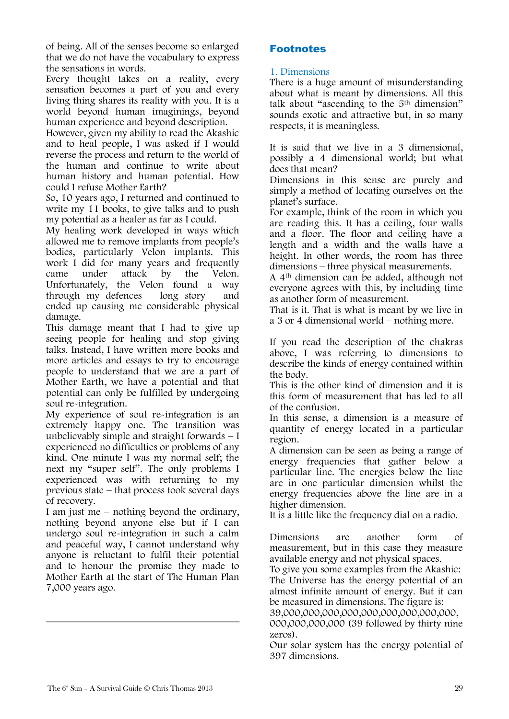of being. All of the senses become so enlarged that we do not have the vocabulary to express the sensations in words.

Every thought takes on a reality, every sensation becomes a part of you and every living thing shares its reality with you. It is a world beyond human imaginings, beyond human experience and beyond description.

However, given my ability to read the Akashic and to heal people, I was asked if I would reverse the process and return to the world of the human and continue to write about human history and human potential. How could I refuse Mother Earth?

So, 10 years ago, I returned and continued to write my 11 books, to give talks and to push my potential as a healer as far as I could.

My healing work developed in ways which allowed me to remove implants from people"s bodies, particularly Velon implants. This work I did for many years and frequently came under attack by the Velon. Unfortunately, the Velon found a way through my defences  $-$  long story  $-$  and ended up causing me considerable physical damage.

This damage meant that I had to give up seeing people for healing and stop giving talks. Instead, I have written more books and more articles and essays to try to encourage people to understand that we are a part of Mother Earth, we have a potential and that potential can only be fulfilled by undergoing soul re-integration.

My experience of soul re-integration is an extremely happy one. The transition was unbelievably simple and straight forwards  $-1$ experienced no difficulties or problems of any kind. One minute I was my normal self; the next my "super self". The only problems I experienced was with returning to my previous state – that process took several days of recovery.

I am just me – nothing beyond the ordinary, nothing beyond anyone else but if I can undergo soul re-integration in such a calm and peaceful way, I cannot understand why anyone is reluctant to fulfil their potential and to honour the promise they made to Mother Earth at the start of The Human Plan 7,000 years ago.

### **Footnotes**

#### 1. Dimensions

There is a huge amount of misunderstanding about what is meant by dimensions. All this talk about "ascending to the  $5<sup>th</sup>$  dimension" sounds exotic and attractive but, in so many respects, it is meaningless.

It is said that we live in a 3 dimensional, possibly a 4 dimensional world; but what does that mean?

Dimensions in this sense are purely and simply a method of locating ourselves on the planet's surface.

For example, think of the room in which you are reading this. It has a ceiling, four walls and a floor. The floor and ceiling have a length and a width and the walls have a height. In other words, the room has three dimensions – three physical measurements.

A 4th dimension can be added, although not everyone agrees with this, by including time as another form of measurement.

That is it. That is what is meant by we live in a 3 or 4 dimensional world – nothing more.

If you read the description of the chakras above, I was referring to dimensions to describe the kinds of energy contained within the body.

This is the other kind of dimension and it is this form of measurement that has led to all of the confusion.

In this sense, a dimension is a measure of quantity of energy located in a particular region.

A dimension can be seen as being a range of energy frequencies that gather below a particular line. The energies below the line are in one particular dimension whilst the energy frequencies above the line are in a higher dimension.

It is a little like the frequency dial on a radio.

Dimensions are another form of measurement, but in this case they measure available energy and not physical spaces.

To give you some examples from the Akashic: The Universe has the energy potential of an almost infinite amount of energy. But it can be measured in dimensions. The figure is: 39,000,000,000,000,000,000,000,000,000,

000,000,000,000 (39 followed by thirty nine zeros).

Our solar system has the energy potential of 397 dimensions.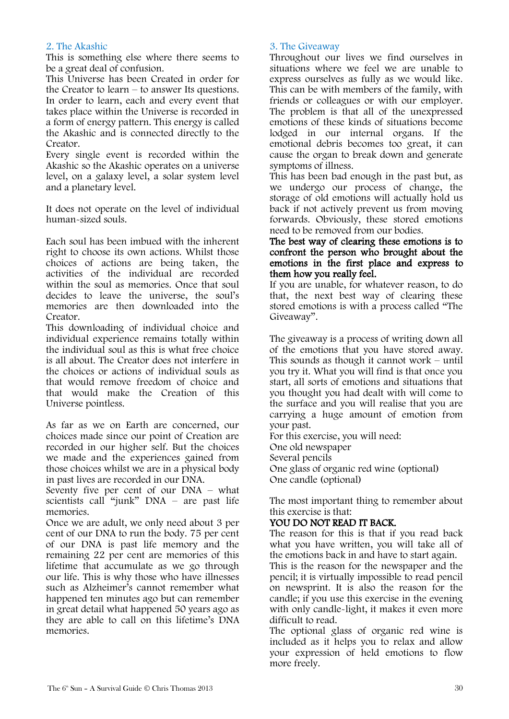#### 2. The Akashic

This is something else where there seems to be a great deal of confusion.

This Universe has been Created in order for the Creator to learn – to answer Its questions. In order to learn, each and every event that takes place within the Universe is recorded in a form of energy pattern. This energy is called the Akashic and is connected directly to the Creator.

Every single event is recorded within the Akashic so the Akashic operates on a universe level, on a galaxy level, a solar system level and a planetary level.

It does not operate on the level of individual human-sized souls.

Each soul has been imbued with the inherent right to choose its own actions. Whilst those choices of actions are being taken, the activities of the individual are recorded within the soul as memories. Once that soul decides to leave the universe, the soul"s memories are then downloaded into the Creator.

This downloading of individual choice and individual experience remains totally within the individual soul as this is what free choice is all about. The Creator does not interfere in the choices or actions of individual souls as that would remove freedom of choice and that would make the Creation of this Universe pointless.

As far as we on Earth are concerned, our choices made since our point of Creation are recorded in our higher self. But the choices we made and the experiences gained from those choices whilst we are in a physical body in past lives are recorded in our DNA.

Seventy five per cent of our DNA – what scientists call "junk" DNA – are past life memories.

Once we are adult, we only need about 3 per cent of our DNA to run the body. 75 per cent of our DNA is past life memory and the remaining 22 per cent are memories of this lifetime that accumulate as we go through our life. This is why those who have illnesses such as Alzheimer's cannot remember what happened ten minutes ago but can remember in great detail what happened 50 years ago as they are able to call on this lifetime"s DNA memories.

#### 3. The Giveaway

Throughout our lives we find ourselves in situations where we feel we are unable to express ourselves as fully as we would like. This can be with members of the family, with friends or colleagues or with our employer. The problem is that all of the unexpressed emotions of these kinds of situations become lodged in our internal organs. If the emotional debris becomes too great, it can cause the organ to break down and generate symptoms of illness.

This has been bad enough in the past but, as we undergo our process of change, the storage of old emotions will actually hold us back if not actively prevent us from moving forwards. Obviously, these stored emotions need to be removed from our bodies.

#### The best way of clearing these emotions is to confront the person who brought about the emotions in the first place and express to them how you really feel.

If you are unable, for whatever reason, to do that, the next best way of clearing these stored emotions is with a process called "The Giveaway".

The giveaway is a process of writing down all of the emotions that you have stored away. This sounds as though it cannot work – until you try it. What you will find is that once you start, all sorts of emotions and situations that you thought you had dealt with will come to the surface and you will realise that you are carrying a huge amount of emotion from your past.

For this exercise, you will need: One old newspaper Several pencils One glass of organic red wine (optional) One candle (optional)

The most important thing to remember about this exercise is that:

#### YOU DO NOT READ IT BACK.

The reason for this is that if you read back what you have written, you will take all of the emotions back in and have to start again.

This is the reason for the newspaper and the pencil; it is virtually impossible to read pencil on newsprint. It is also the reason for the candle; if you use this exercise in the evening with only candle-light, it makes it even more difficult to read.

The optional glass of organic red wine is included as it helps you to relax and allow your expression of held emotions to flow more freely.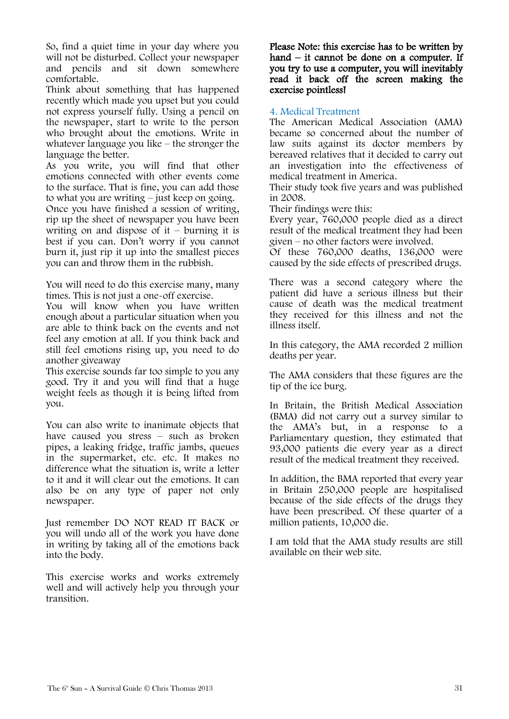So, find a quiet time in your day where you will not be disturbed. Collect your newspaper and pencils and sit down somewhere comfortable.

Think about something that has happened recently which made you upset but you could not express yourself fully. Using a pencil on the newspaper, start to write to the person who brought about the emotions. Write in whatever language you like – the stronger the language the better.

As you write, you will find that other emotions connected with other events come to the surface. That is fine, you can add those to what you are writing – just keep on going.

Once you have finished a session of writing, rip up the sheet of newspaper you have been writing on and dispose of it – burning it is best if you can. Don"t worry if you cannot burn it, just rip it up into the smallest pieces you can and throw them in the rubbish.

You will need to do this exercise many, many times. This is not just a one-off exercise.

You will know when you have written enough about a particular situation when you are able to think back on the events and not feel any emotion at all. If you think back and still feel emotions rising up, you need to do another giveaway

This exercise sounds far too simple to you any good. Try it and you will find that a huge weight feels as though it is being lifted from you.

You can also write to inanimate objects that have caused you stress – such as broken pipes, a leaking fridge, traffic jambs, queues in the supermarket, etc. etc. It makes no difference what the situation is, write a letter to it and it will clear out the emotions. It can also be on any type of paper not only newspaper.

Just remember DO NOT READ IT BACK or you will undo all of the work you have done in writing by taking all of the emotions back into the body.

This exercise works and works extremely well and will actively help you through your transition.

Please Note: this exercise has to be written by hand – it cannot be done on a computer. If you try to use a computer, you will inevitably read it back off the screen making the exercise pointless!

#### 4. Medical Treatment

The American Medical Association (AMA) became so concerned about the number of law suits against its doctor members by bereaved relatives that it decided to carry out an investigation into the effectiveness of medical treatment in America.

Their study took five years and was published in 2008.

Their findings were this:

Every year, 760,000 people died as a direct result of the medical treatment they had been given – no other factors were involved.

Of these 760,000 deaths, 136,000 were caused by the side effects of prescribed drugs.

There was a second category where the patient did have a serious illness but their cause of death was the medical treatment they received for this illness and not the illness itself.

In this category, the AMA recorded 2 million deaths per year.

The AMA considers that these figures are the tip of the ice burg.

In Britain, the British Medical Association (BMA) did not carry out a survey similar to the AMA"s but, in a response to a Parliamentary question, they estimated that 93,000 patients die every year as a direct result of the medical treatment they received.

In addition, the BMA reported that every year in Britain 250,000 people are hospitalised because of the side effects of the drugs they have been prescribed. Of these quarter of a million patients, 10,000 die.

I am told that the AMA study results are still available on their web site.